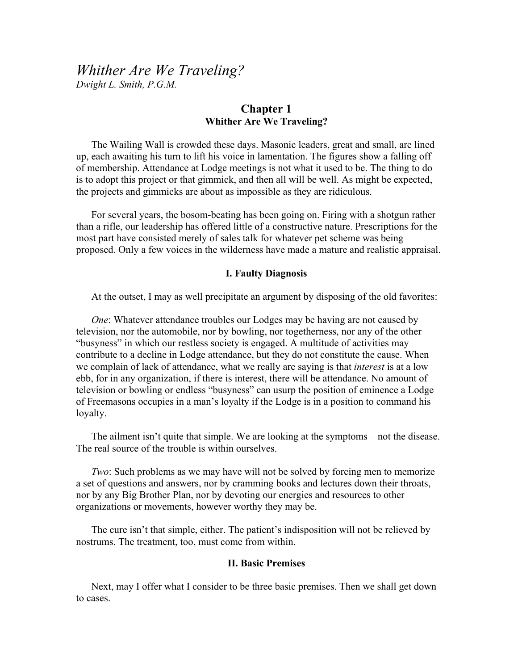# *Whither Are We Traveling?*

*Dwight L. Smith, P.G.M.* 

## **Chapter 1 Whither Are We Traveling?**

The Wailing Wall is crowded these days. Masonic leaders, great and small, are lined up, each awaiting his turn to lift his voice in lamentation. The figures show a falling off of membership. Attendance at Lodge meetings is not what it used to be. The thing to do is to adopt this project or that gimmick, and then all will be well. As might be expected, the projects and gimmicks are about as impossible as they are ridiculous.

For several years, the bosom-beating has been going on. Firing with a shotgun rather than a rifle, our leadership has offered little of a constructive nature. Prescriptions for the most part have consisted merely of sales talk for whatever pet scheme was being proposed. Only a few voices in the wilderness have made a mature and realistic appraisal.

#### **I. Faulty Diagnosis**

At the outset, I may as well precipitate an argument by disposing of the old favorites:

*One*: Whatever attendance troubles our Lodges may be having are not caused by television, nor the automobile, nor by bowling, nor togetherness, nor any of the other "busyness" in which our restless society is engaged. A multitude of activities may contribute to a decline in Lodge attendance, but they do not constitute the cause. When we complain of lack of attendance, what we really are saying is that *interest* is at a low ebb, for in any organization, if there is interest, there will be attendance. No amount of television or bowling or endless "busyness" can usurp the position of eminence a Lodge of Freemasons occupies in a man's loyalty if the Lodge is in a position to command his loyalty.

The ailment isn't quite that simple. We are looking at the symptoms – not the disease. The real source of the trouble is within ourselves.

*Two*: Such problems as we may have will not be solved by forcing men to memorize a set of questions and answers, nor by cramming books and lectures down their throats, nor by any Big Brother Plan, nor by devoting our energies and resources to other organizations or movements, however worthy they may be.

The cure isn't that simple, either. The patient's indisposition will not be relieved by nostrums. The treatment, too, must come from within.

#### **II. Basic Premises**

Next, may I offer what I consider to be three basic premises. Then we shall get down to cases.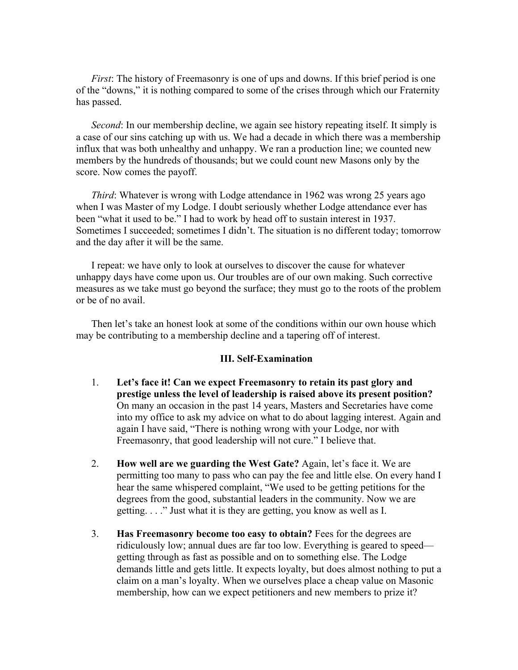*First*: The history of Freemasonry is one of ups and downs. If this brief period is one of the "downs," it is nothing compared to some of the crises through which our Fraternity has passed.

*Second*: In our membership decline, we again see history repeating itself. It simply is a case of our sins catching up with us. We had a decade in which there was a membership influx that was both unhealthy and unhappy. We ran a production line; we counted new members by the hundreds of thousands; but we could count new Masons only by the score. Now comes the payoff.

*Third*: Whatever is wrong with Lodge attendance in 1962 was wrong 25 years ago when I was Master of my Lodge. I doubt seriously whether Lodge attendance ever has been "what it used to be." I had to work by head off to sustain interest in 1937. Sometimes I succeeded; sometimes I didn't. The situation is no different today; tomorrow and the day after it will be the same.

I repeat: we have only to look at ourselves to discover the cause for whatever unhappy days have come upon us. Our troubles are of our own making. Such corrective measures as we take must go beyond the surface; they must go to the roots of the problem or be of no avail.

Then let's take an honest look at some of the conditions within our own house which may be contributing to a membership decline and a tapering off of interest.

#### **III. Self-Examination**

- 1. **Let's face it! Can we expect Freemasonry to retain its past glory and prestige unless the level of leadership is raised above its present position?** On many an occasion in the past 14 years, Masters and Secretaries have come into my office to ask my advice on what to do about lagging interest. Again and again I have said, "There is nothing wrong with your Lodge, nor with Freemasonry, that good leadership will not cure." I believe that.
- 2. **How well are we guarding the West Gate?** Again, let's face it. We are permitting too many to pass who can pay the fee and little else. On every hand I hear the same whispered complaint, "We used to be getting petitions for the degrees from the good, substantial leaders in the community. Now we are getting. . . ." Just what it is they are getting, you know as well as I.
- 3. **Has Freemasonry become too easy to obtain?** Fees for the degrees are ridiculously low; annual dues are far too low. Everything is geared to speed getting through as fast as possible and on to something else. The Lodge demands little and gets little. It expects loyalty, but does almost nothing to put a claim on a man's loyalty. When we ourselves place a cheap value on Masonic membership, how can we expect petitioners and new members to prize it?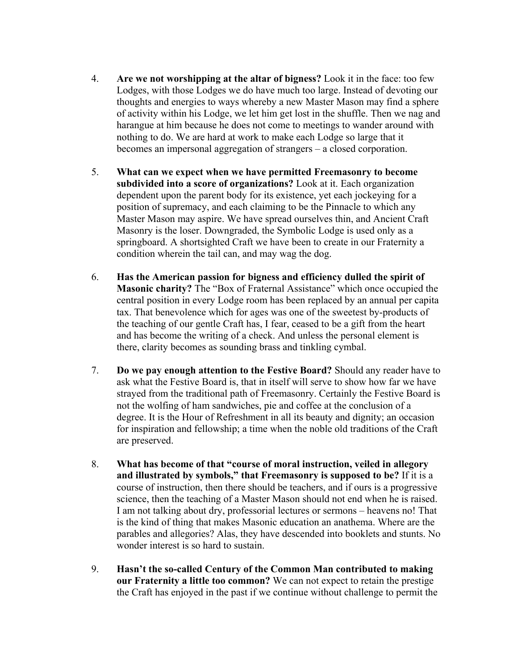- 4. **Are we not worshipping at the altar of bigness?** Look it in the face: too few Lodges, with those Lodges we do have much too large. Instead of devoting our thoughts and energies to ways whereby a new Master Mason may find a sphere of activity within his Lodge, we let him get lost in the shuffle. Then we nag and harangue at him because he does not come to meetings to wander around with nothing to do. We are hard at work to make each Lodge so large that it becomes an impersonal aggregation of strangers – a closed corporation.
- 5. **What can we expect when we have permitted Freemasonry to become subdivided into a score of organizations?** Look at it. Each organization dependent upon the parent body for its existence, yet each jockeying for a position of supremacy, and each claiming to be the Pinnacle to which any Master Mason may aspire. We have spread ourselves thin, and Ancient Craft Masonry is the loser. Downgraded, the Symbolic Lodge is used only as a springboard. A shortsighted Craft we have been to create in our Fraternity a condition wherein the tail can, and may wag the dog.
- 6. **Has the American passion for bigness and efficiency dulled the spirit of Masonic charity?** The "Box of Fraternal Assistance" which once occupied the central position in every Lodge room has been replaced by an annual per capita tax. That benevolence which for ages was one of the sweetest by-products of the teaching of our gentle Craft has, I fear, ceased to be a gift from the heart and has become the writing of a check. And unless the personal element is there, clarity becomes as sounding brass and tinkling cymbal.
- 7. **Do we pay enough attention to the Festive Board?** Should any reader have to ask what the Festive Board is, that in itself will serve to show how far we have strayed from the traditional path of Freemasonry. Certainly the Festive Board is not the wolfing of ham sandwiches, pie and coffee at the conclusion of a degree. It is the Hour of Refreshment in all its beauty and dignity; an occasion for inspiration and fellowship; a time when the noble old traditions of the Craft are preserved.
- 8. **What has become of that "course of moral instruction, veiled in allegory and illustrated by symbols," that Freemasonry is supposed to be?** If it is a course of instruction, then there should be teachers, and if ours is a progressive science, then the teaching of a Master Mason should not end when he is raised. I am not talking about dry, professorial lectures or sermons – heavens no! That is the kind of thing that makes Masonic education an anathema. Where are the parables and allegories? Alas, they have descended into booklets and stunts. No wonder interest is so hard to sustain.
- 9. **Hasn't the so-called Century of the Common Man contributed to making our Fraternity a little too common?** We can not expect to retain the prestige the Craft has enjoyed in the past if we continue without challenge to permit the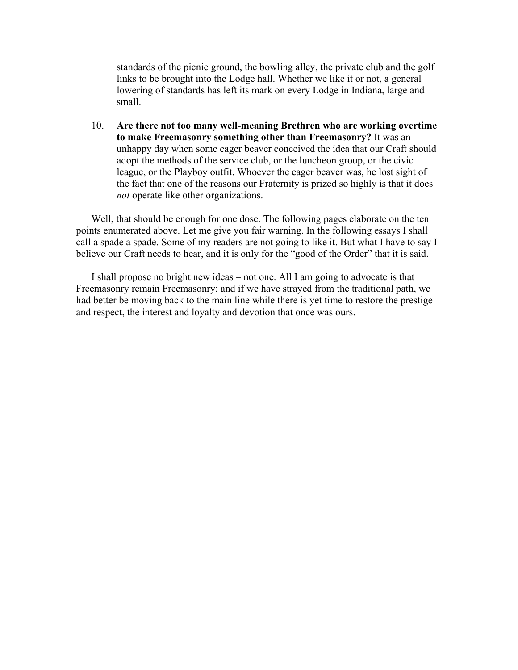standards of the picnic ground, the bowling alley, the private club and the golf links to be brought into the Lodge hall. Whether we like it or not, a general lowering of standards has left its mark on every Lodge in Indiana, large and small.

10. **Are there not too many well-meaning Brethren who are working overtime to make Freemasonry something other than Freemasonry?** It was an unhappy day when some eager beaver conceived the idea that our Craft should adopt the methods of the service club, or the luncheon group, or the civic league, or the Playboy outfit. Whoever the eager beaver was, he lost sight of the fact that one of the reasons our Fraternity is prized so highly is that it does *not* operate like other organizations.

Well, that should be enough for one dose. The following pages elaborate on the ten points enumerated above. Let me give you fair warning. In the following essays I shall call a spade a spade. Some of my readers are not going to like it. But what I have to say I believe our Craft needs to hear, and it is only for the "good of the Order" that it is said.

I shall propose no bright new ideas – not one. All I am going to advocate is that Freemasonry remain Freemasonry; and if we have strayed from the traditional path, we had better be moving back to the main line while there is yet time to restore the prestige and respect, the interest and loyalty and devotion that once was ours.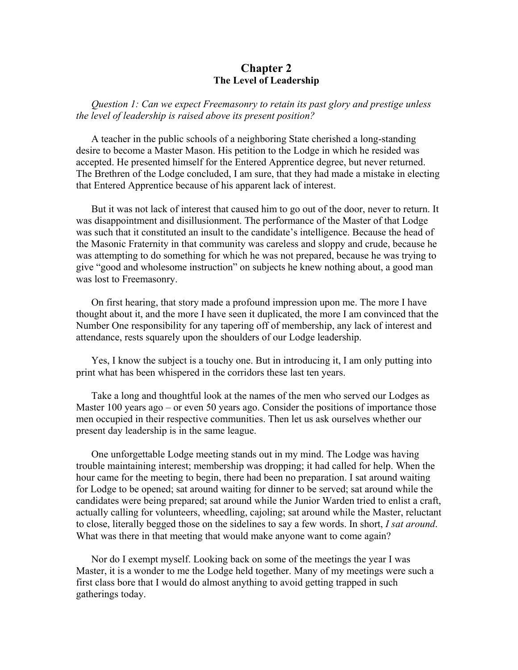## **Chapter 2 The Level of Leadership**

*Question 1: Can we expect Freemasonry to retain its past glory and prestige unless the level of leadership is raised above its present position?* 

A teacher in the public schools of a neighboring State cherished a long-standing desire to become a Master Mason. His petition to the Lodge in which he resided was accepted. He presented himself for the Entered Apprentice degree, but never returned. The Brethren of the Lodge concluded, I am sure, that they had made a mistake in electing that Entered Apprentice because of his apparent lack of interest.

But it was not lack of interest that caused him to go out of the door, never to return. It was disappointment and disillusionment. The performance of the Master of that Lodge was such that it constituted an insult to the candidate's intelligence. Because the head of the Masonic Fraternity in that community was careless and sloppy and crude, because he was attempting to do something for which he was not prepared, because he was trying to give "good and wholesome instruction" on subjects he knew nothing about, a good man was lost to Freemasonry.

On first hearing, that story made a profound impression upon me. The more I have thought about it, and the more I have seen it duplicated, the more I am convinced that the Number One responsibility for any tapering off of membership, any lack of interest and attendance, rests squarely upon the shoulders of our Lodge leadership.

Yes, I know the subject is a touchy one. But in introducing it, I am only putting into print what has been whispered in the corridors these last ten years.

Take a long and thoughtful look at the names of the men who served our Lodges as Master 100 years ago – or even 50 years ago. Consider the positions of importance those men occupied in their respective communities. Then let us ask ourselves whether our present day leadership is in the same league.

One unforgettable Lodge meeting stands out in my mind. The Lodge was having trouble maintaining interest; membership was dropping; it had called for help. When the hour came for the meeting to begin, there had been no preparation. I sat around waiting for Lodge to be opened; sat around waiting for dinner to be served; sat around while the candidates were being prepared; sat around while the Junior Warden tried to enlist a craft, actually calling for volunteers, wheedling, cajoling; sat around while the Master, reluctant to close, literally begged those on the sidelines to say a few words. In short, *I sat around*. What was there in that meeting that would make anyone want to come again?

Nor do I exempt myself. Looking back on some of the meetings the year I was Master, it is a wonder to me the Lodge held together. Many of my meetings were such a first class bore that I would do almost anything to avoid getting trapped in such gatherings today.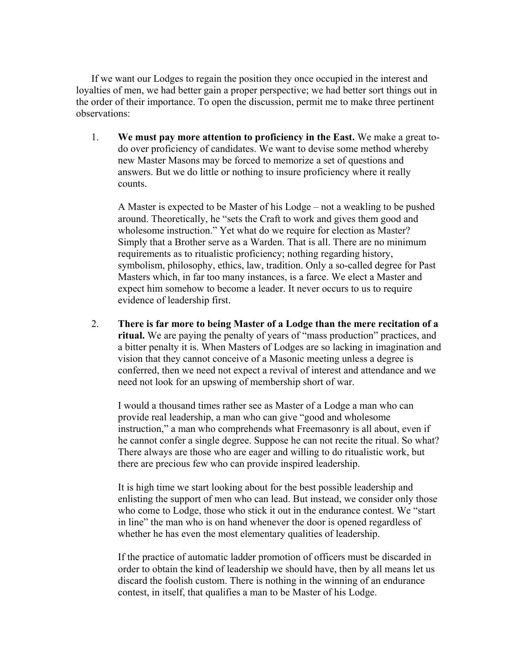If we want our Lodges to regain the position they once occupied in the interest and loyalties of men, we had better gain a proper perspective; we had better sort things out in the order of their importance. To open the discussion, permit me to make three pertinent observations:

1. **We must pay more attention to proficiency in the East.** We make a great todo over proficiency of candidates. We want to devise some method whereby new Master Masons may be forced to memorize a set of questions and answers. But we do little or nothing to insure proficiency where it really counts.

A Master is expected to be Master of his Lodge – not a weakling to be pushed around. Theoretically, he "sets the Craft to work and gives them good and wholesome instruction." Yet what do we require for election as Master? Simply that a Brother serve as a Warden. That is all. There are no minimum requirements as to ritualistic proficiency; nothing regarding history, symbolism, philosophy, ethics, law, tradition. Only a so-called degree for Past Masters which, in far too many instances, is a farce. We elect a Master and expect him somehow to become a leader. It never occurs to us to require evidence of leadership first.

2. **There is far more to being Master of a Lodge than the mere recitation of a ritual.** We are paying the penalty of years of "mass production" practices, and a bitter penalty it is. When Masters of Lodges are so lacking in imagination and vision that they cannot conceive of a Masonic meeting unless a degree is conferred, then we need not expect a revival of interest and attendance and we need not look for an upswing of membership short of war.

I would a thousand times rather see as Master of a Lodge a man who can provide real leadership, a man who can give "good and wholesome instruction," a man who comprehends what Freemasonry is all about, even if he cannot confer a single degree. Suppose he can not recite the ritual. So what? There always are those who are eager and willing to do ritualistic work, but there are precious few who can provide inspired leadership.

It is high time we start looking about for the best possible leadership and enlisting the support of men who can lead. But instead, we consider only those who come to Lodge, those who stick it out in the endurance contest. We "start in line" the man who is on hand whenever the door is opened regardless of whether he has even the most elementary qualities of leadership.

If the practice of automatic ladder promotion of officers must be discarded in order to obtain the kind of leadership we should have, then by all means let us discard the foolish custom. There is nothing in the winning of an endurance contest, in itself, that qualifies a man to be Master of his Lodge.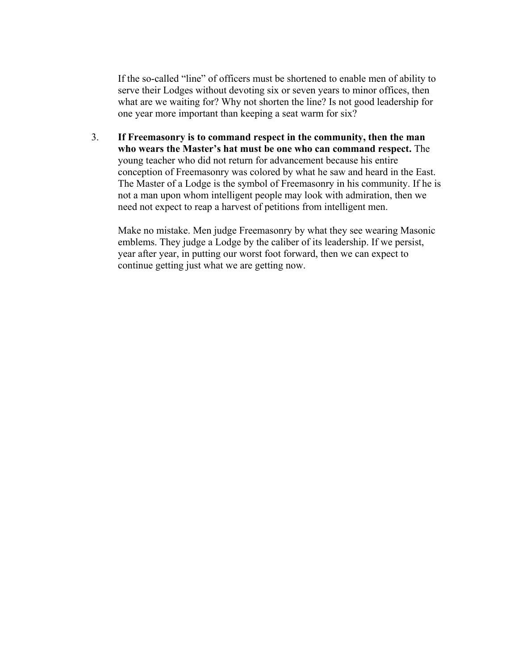If the so-called "line" of officers must be shortened to enable men of ability to serve their Lodges without devoting six or seven years to minor offices, then what are we waiting for? Why not shorten the line? Is not good leadership for one year more important than keeping a seat warm for six?

3. **If Freemasonry is to command respect in the community, then the man who wears the Master's hat must be one who can command respect.** The young teacher who did not return for advancement because his entire conception of Freemasonry was colored by what he saw and heard in the East. The Master of a Lodge is the symbol of Freemasonry in his community. If he is not a man upon whom intelligent people may look with admiration, then we need not expect to reap a harvest of petitions from intelligent men.

Make no mistake. Men judge Freemasonry by what they see wearing Masonic emblems. They judge a Lodge by the caliber of its leadership. If we persist, year after year, in putting our worst foot forward, then we can expect to continue getting just what we are getting now.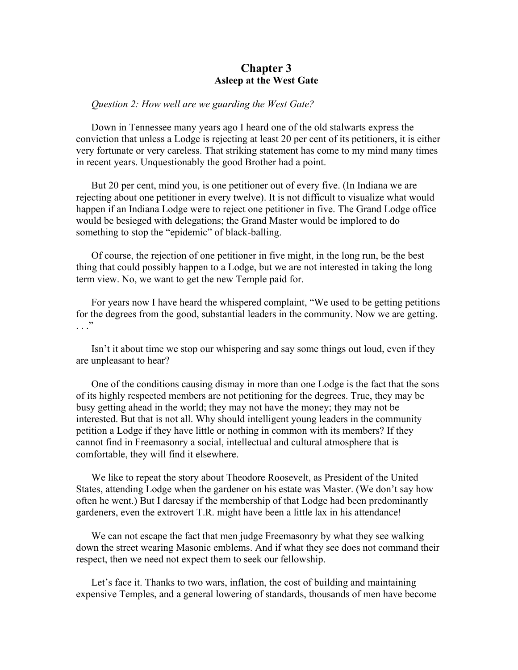## **Chapter 3 Asleep at the West Gate**

### *Question 2: How well are we guarding the West Gate?*

Down in Tennessee many years ago I heard one of the old stalwarts express the conviction that unless a Lodge is rejecting at least 20 per cent of its petitioners, it is either very fortunate or very careless. That striking statement has come to my mind many times in recent years. Unquestionably the good Brother had a point.

But 20 per cent, mind you, is one petitioner out of every five. (In Indiana we are rejecting about one petitioner in every twelve). It is not difficult to visualize what would happen if an Indiana Lodge were to reject one petitioner in five. The Grand Lodge office would be besieged with delegations; the Grand Master would be implored to do something to stop the "epidemic" of black-balling.

Of course, the rejection of one petitioner in five might, in the long run, be the best thing that could possibly happen to a Lodge, but we are not interested in taking the long term view. No, we want to get the new Temple paid for.

For years now I have heard the whispered complaint, "We used to be getting petitions for the degrees from the good, substantial leaders in the community. Now we are getting.  $\cdot$  . .  $\cdot$ 

Isn't it about time we stop our whispering and say some things out loud, even if they are unpleasant to hear?

One of the conditions causing dismay in more than one Lodge is the fact that the sons of its highly respected members are not petitioning for the degrees. True, they may be busy getting ahead in the world; they may not have the money; they may not be interested. But that is not all. Why should intelligent young leaders in the community petition a Lodge if they have little or nothing in common with its members? If they cannot find in Freemasonry a social, intellectual and cultural atmosphere that is comfortable, they will find it elsewhere.

We like to repeat the story about Theodore Roosevelt, as President of the United States, attending Lodge when the gardener on his estate was Master. (We don't say how often he went.) But I daresay if the membership of that Lodge had been predominantly gardeners, even the extrovert T.R. might have been a little lax in his attendance!

We can not escape the fact that men judge Freemasonry by what they see walking down the street wearing Masonic emblems. And if what they see does not command their respect, then we need not expect them to seek our fellowship.

Let's face it. Thanks to two wars, inflation, the cost of building and maintaining expensive Temples, and a general lowering of standards, thousands of men have become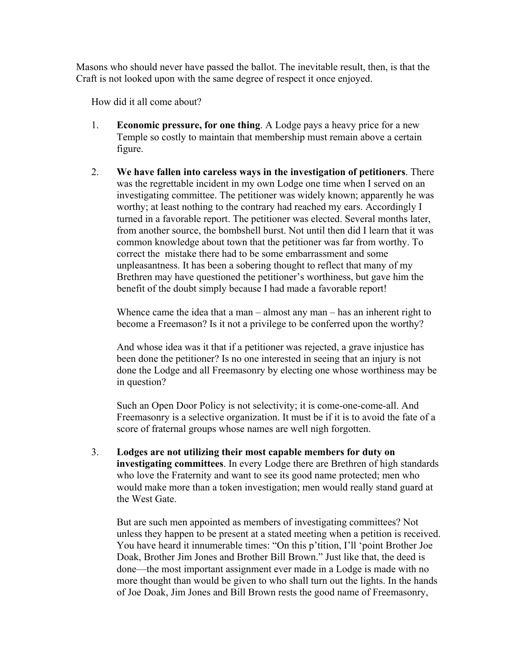Masons who should never have passed the ballot. The inevitable result, then, is that the Craft is not looked upon with the same degree of respect it once enjoyed.

How did it all come about?

- 1. **Economic pressure, for one thing**. A Lodge pays a heavy price for a new Temple so costly to maintain that membership must remain above a certain figure.
- 2. **We have fallen into careless ways in the investigation of petitioners**. There was the regrettable incident in my own Lodge one time when I served on an investigating committee. The petitioner was widely known; apparently he was worthy; at least nothing to the contrary had reached my ears. Accordingly I turned in a favorable report. The petitioner was elected. Several months later, from another source, the bombshell burst. Not until then did I learn that it was common knowledge about town that the petitioner was far from worthy. To correct the mistake there had to be some embarrassment and some unpleasantness. It has been a sobering thought to reflect that many of my Brethren may have questioned the petitioner's worthiness, but gave him the benefit of the doubt simply because I had made a favorable report!

Whence came the idea that a man – almost any man – has an inherent right to become a Freemason? Is it not a privilege to be conferred upon the worthy?

And whose idea was it that if a petitioner was rejected, a grave injustice has been done the petitioner? Is no one interested in seeing that an injury is not done the Lodge and all Freemasonry by electing one whose worthiness may be in question?

Such an Open Door Policy is not selectivity; it is come-one-come-all. And Freemasonry is a selective organization. It must be if it is to avoid the fate of a score of fraternal groups whose names are well nigh forgotten.

3. **Lodges are not utilizing their most capable members for duty on investigating committees**. In every Lodge there are Brethren of high standards who love the Fraternity and want to see its good name protected; men who would make more than a token investigation; men would really stand guard at the West Gate.

But are such men appointed as members of investigating committees? Not unless they happen to be present at a stated meeting when a petition is received. You have heard it innumerable times: "On this p'tition, I'll 'point Brother Joe Doak, Brother Jim Jones and Brother Bill Brown." Just like that, the deed is done—the most important assignment ever made in a Lodge is made with no more thought than would be given to who shall turn out the lights. In the hands of Joe Doak, Jim Jones and Bill Brown rests the good name of Freemasonry,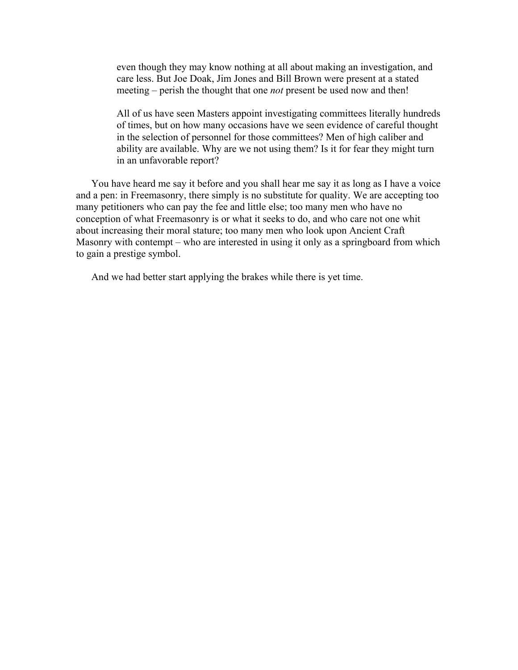even though they may know nothing at all about making an investigation, and care less. But Joe Doak, Jim Jones and Bill Brown were present at a stated meeting – perish the thought that one *not* present be used now and then!

All of us have seen Masters appoint investigating committees literally hundreds of times, but on how many occasions have we seen evidence of careful thought in the selection of personnel for those committees? Men of high caliber and ability are available. Why are we not using them? Is it for fear they might turn in an unfavorable report?

You have heard me say it before and you shall hear me say it as long as I have a voice and a pen: in Freemasonry, there simply is no substitute for quality. We are accepting too many petitioners who can pay the fee and little else; too many men who have no conception of what Freemasonry is or what it seeks to do, and who care not one whit about increasing their moral stature; too many men who look upon Ancient Craft Masonry with contempt – who are interested in using it only as a springboard from which to gain a prestige symbol.

And we had better start applying the brakes while there is yet time.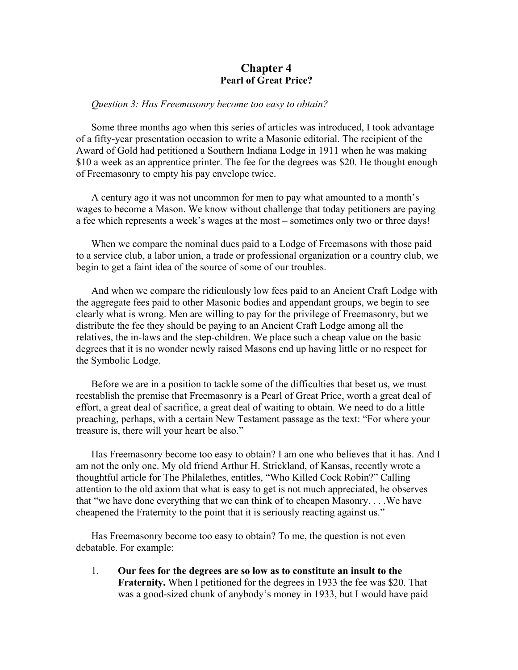## **Chapter 4 Pearl of Great Price?**

#### *Question 3: Has Freemasonry become too easy to obtain?*

Some three months ago when this series of articles was introduced, I took advantage of a fifty-year presentation occasion to write a Masonic editorial. The recipient of the Award of Gold had petitioned a Southern Indiana Lodge in 1911 when he was making \$10 a week as an apprentice printer. The fee for the degrees was \$20. He thought enough of Freemasonry to empty his pay envelope twice.

A century ago it was not uncommon for men to pay what amounted to a month's wages to become a Mason. We know without challenge that today petitioners are paying a fee which represents a week's wages at the most – sometimes only two or three days!

When we compare the nominal dues paid to a Lodge of Freemasons with those paid to a service club, a labor union, a trade or professional organization or a country club, we begin to get a faint idea of the source of some of our troubles.

And when we compare the ridiculously low fees paid to an Ancient Craft Lodge with the aggregate fees paid to other Masonic bodies and appendant groups, we begin to see clearly what is wrong. Men are willing to pay for the privilege of Freemasonry, but we distribute the fee they should be paying to an Ancient Craft Lodge among all the relatives, the in-laws and the step-children. We place such a cheap value on the basic degrees that it is no wonder newly raised Masons end up having little or no respect for the Symbolic Lodge.

Before we are in a position to tackle some of the difficulties that beset us, we must reestablish the premise that Freemasonry is a Pearl of Great Price, worth a great deal of effort, a great deal of sacrifice, a great deal of waiting to obtain. We need to do a little preaching, perhaps, with a certain New Testament passage as the text: "For where your treasure is, there will your heart be also."

Has Freemasonry become too easy to obtain? I am one who believes that it has. And I am not the only one. My old friend Arthur H. Strickland, of Kansas, recently wrote a thoughtful article for The Philalethes, entitles, "Who Killed Cock Robin?" Calling attention to the old axiom that what is easy to get is not much appreciated, he observes that "we have done everything that we can think of to cheapen Masonry. . . .We have cheapened the Fraternity to the point that it is seriously reacting against us."

Has Freemasonry become too easy to obtain? To me, the question is not even debatable. For example:

1. **Our fees for the degrees are so low as to constitute an insult to the Fraternity.** When I petitioned for the degrees in 1933 the fee was \$20. That was a good-sized chunk of anybody's money in 1933, but I would have paid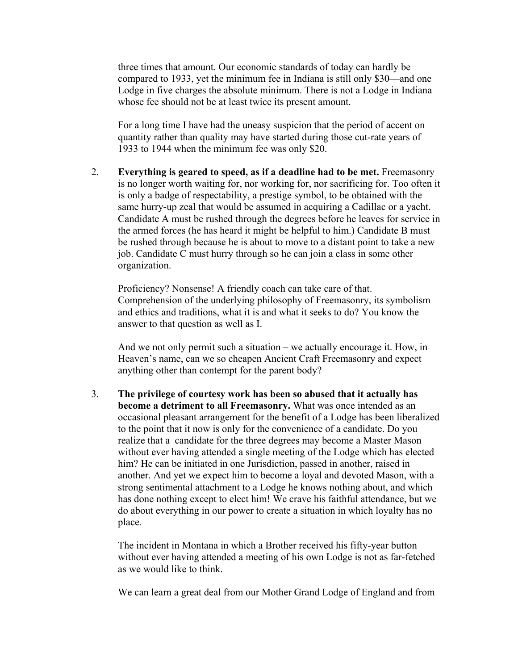three times that amount. Our economic standards of today can hardly be compared to 1933, yet the minimum fee in Indiana is still only \$30—and one Lodge in five charges the absolute minimum. There is not a Lodge in Indiana whose fee should not be at least twice its present amount.

For a long time I have had the uneasy suspicion that the period of accent on quantity rather than quality may have started during those cut-rate years of 1933 to 1944 when the minimum fee was only \$20.

2. **Everything is geared to speed, as if a deadline had to be met.** Freemasonry is no longer worth waiting for, nor working for, nor sacrificing for. Too often it is only a badge of respectability, a prestige symbol, to be obtained with the same hurry-up zeal that would be assumed in acquiring a Cadillac or a yacht. Candidate A must be rushed through the degrees before he leaves for service in the armed forces (he has heard it might be helpful to him.) Candidate B must be rushed through because he is about to move to a distant point to take a new job. Candidate C must hurry through so he can join a class in some other organization.

Proficiency? Nonsense! A friendly coach can take care of that. Comprehension of the underlying philosophy of Freemasonry, its symbolism and ethics and traditions, what it is and what it seeks to do? You know the answer to that question as well as I.

And we not only permit such a situation – we actually encourage it. How, in Heaven's name, can we so cheapen Ancient Craft Freemasonry and expect anything other than contempt for the parent body?

3. **The privilege of courtesy work has been so abused that it actually has become a detriment to all Freemasonry.** What was once intended as an occasional pleasant arrangement for the benefit of a Lodge has been liberalized to the point that it now is only for the convenience of a candidate. Do you realize that a candidate for the three degrees may become a Master Mason without ever having attended a single meeting of the Lodge which has elected him? He can be initiated in one Jurisdiction, passed in another, raised in another. And yet we expect him to become a loyal and devoted Mason, with a strong sentimental attachment to a Lodge he knows nothing about, and which has done nothing except to elect him! We crave his faithful attendance, but we do about everything in our power to create a situation in which loyalty has no place.

The incident in Montana in which a Brother received his fifty-year button without ever having attended a meeting of his own Lodge is not as far-fetched as we would like to think.

We can learn a great deal from our Mother Grand Lodge of England and from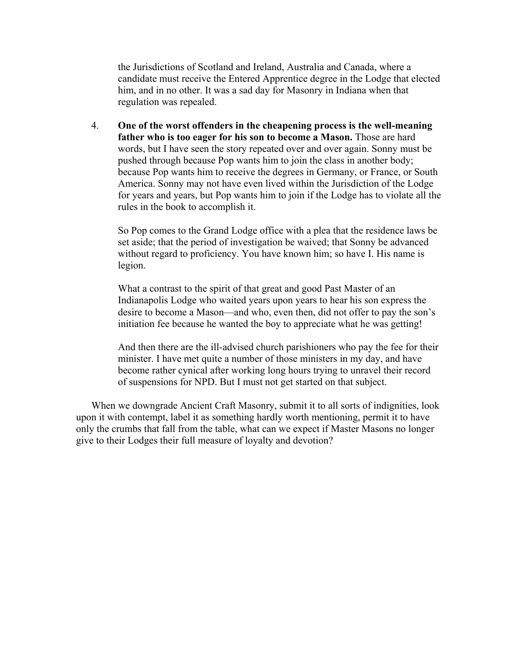the Jurisdictions of Scotland and Ireland, Australia and Canada, where a candidate must receive the Entered Apprentice degree in the Lodge that elected him, and in no other. It was a sad day for Masonry in Indiana when that regulation was repealed.

4. **One of the worst offenders in the cheapening process is the well-meaning father who is too eager for his son to become a Mason.** Those are hard words, but I have seen the story repeated over and over again. Sonny must be pushed through because Pop wants him to join the class in another body; because Pop wants him to receive the degrees in Germany, or France, or South America. Sonny may not have even lived within the Jurisdiction of the Lodge for years and years, but Pop wants him to join if the Lodge has to violate all the rules in the book to accomplish it.

So Pop comes to the Grand Lodge office with a plea that the residence laws be set aside; that the period of investigation be waived; that Sonny be advanced without regard to proficiency. You have known him; so have I. His name is legion.

What a contrast to the spirit of that great and good Past Master of an Indianapolis Lodge who waited years upon years to hear his son express the desire to become a Mason—and who, even then, did not offer to pay the son's initiation fee because he wanted the boy to appreciate what he was getting!

And then there are the ill-advised church parishioners who pay the fee for their minister. I have met quite a number of those ministers in my day, and have become rather cynical after working long hours trying to unravel their record of suspensions for NPD. But I must not get started on that subject.

When we downgrade Ancient Craft Masonry, submit it to all sorts of indignities, look upon it with contempt, label it as something hardly worth mentioning, permit it to have only the crumbs that fall from the table, what can we expect if Master Masons no longer give to their Lodges their full measure of loyalty and devotion?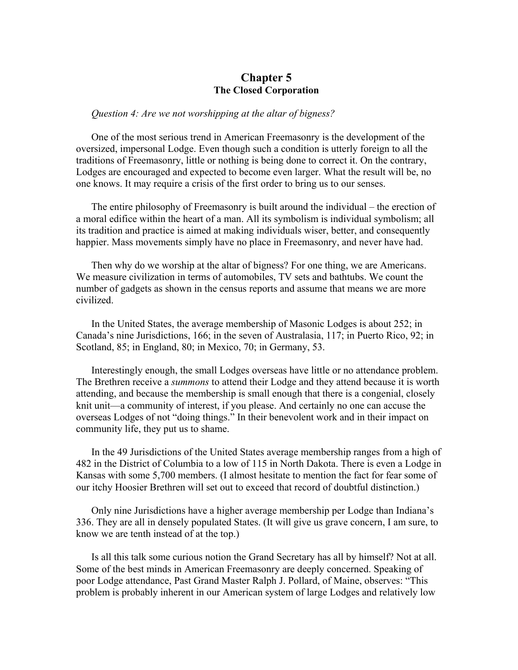## **Chapter 5 The Closed Corporation**

#### *Question 4: Are we not worshipping at the altar of bigness?*

One of the most serious trend in American Freemasonry is the development of the oversized, impersonal Lodge. Even though such a condition is utterly foreign to all the traditions of Freemasonry, little or nothing is being done to correct it. On the contrary, Lodges are encouraged and expected to become even larger. What the result will be, no one knows. It may require a crisis of the first order to bring us to our senses.

The entire philosophy of Freemasonry is built around the individual – the erection of a moral edifice within the heart of a man. All its symbolism is individual symbolism; all its tradition and practice is aimed at making individuals wiser, better, and consequently happier. Mass movements simply have no place in Freemasonry, and never have had.

Then why do we worship at the altar of bigness? For one thing, we are Americans. We measure civilization in terms of automobiles, TV sets and bathtubs. We count the number of gadgets as shown in the census reports and assume that means we are more civilized.

In the United States, the average membership of Masonic Lodges is about 252; in Canada's nine Jurisdictions, 166; in the seven of Australasia, 117; in Puerto Rico, 92; in Scotland, 85; in England, 80; in Mexico, 70; in Germany, 53.

Interestingly enough, the small Lodges overseas have little or no attendance problem. The Brethren receive a *summons* to attend their Lodge and they attend because it is worth attending, and because the membership is small enough that there is a congenial, closely knit unit—a community of interest, if you please. And certainly no one can accuse the overseas Lodges of not "doing things." In their benevolent work and in their impact on community life, they put us to shame.

In the 49 Jurisdictions of the United States average membership ranges from a high of 482 in the District of Columbia to a low of 115 in North Dakota. There is even a Lodge in Kansas with some 5,700 members. (I almost hesitate to mention the fact for fear some of our itchy Hoosier Brethren will set out to exceed that record of doubtful distinction.)

Only nine Jurisdictions have a higher average membership per Lodge than Indiana's 336. They are all in densely populated States. (It will give us grave concern, I am sure, to know we are tenth instead of at the top.)

Is all this talk some curious notion the Grand Secretary has all by himself? Not at all. Some of the best minds in American Freemasonry are deeply concerned. Speaking of poor Lodge attendance, Past Grand Master Ralph J. Pollard, of Maine, observes: "This problem is probably inherent in our American system of large Lodges and relatively low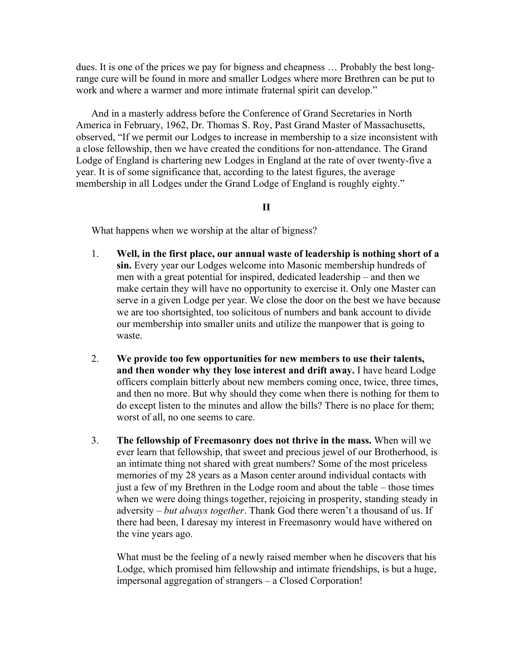dues. It is one of the prices we pay for bigness and cheapness … Probably the best longrange cure will be found in more and smaller Lodges where more Brethren can be put to work and where a warmer and more intimate fraternal spirit can develop."

And in a masterly address before the Conference of Grand Secretaries in North America in February, 1962, Dr. Thomas S. Roy, Past Grand Master of Massachusetts, observed, "If we permit our Lodges to increase in membership to a size inconsistent with a close fellowship, then we have created the conditions for non-attendance. The Grand Lodge of England is chartering new Lodges in England at the rate of over twenty-five a year. It is of some significance that, according to the latest figures, the average membership in all Lodges under the Grand Lodge of England is roughly eighty."

### **II**

What happens when we worship at the altar of bigness?

- 1. **Well, in the first place, our annual waste of leadership is nothing short of a sin.** Every year our Lodges welcome into Masonic membership hundreds of men with a great potential for inspired, dedicated leadership – and then we make certain they will have no opportunity to exercise it. Only one Master can serve in a given Lodge per year. We close the door on the best we have because we are too shortsighted, too solicitous of numbers and bank account to divide our membership into smaller units and utilize the manpower that is going to waste.
- 2. **We provide too few opportunities for new members to use their talents, and then wonder why they lose interest and drift away.** I have heard Lodge officers complain bitterly about new members coming once, twice, three times, and then no more. But why should they come when there is nothing for them to do except listen to the minutes and allow the bills? There is no place for them; worst of all, no one seems to care.
- 3. **The fellowship of Freemasonry does not thrive in the mass.** When will we ever learn that fellowship, that sweet and precious jewel of our Brotherhood, is an intimate thing not shared with great numbers? Some of the most priceless memories of my 28 years as a Mason center around individual contacts with just a few of my Brethren in the Lodge room and about the table – those times when we were doing things together, rejoicing in prosperity, standing steady in adversity – *but always together*. Thank God there weren't a thousand of us. If there had been, I daresay my interest in Freemasonry would have withered on the vine years ago.

What must be the feeling of a newly raised member when he discovers that his Lodge, which promised him fellowship and intimate friendships, is but a huge, impersonal aggregation of strangers – a Closed Corporation!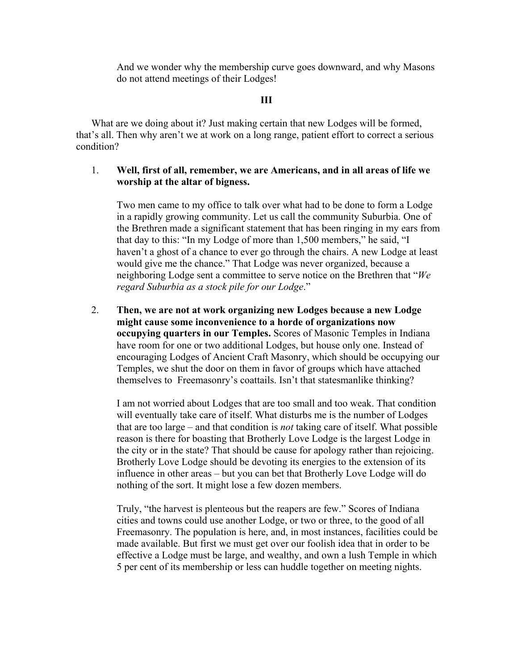And we wonder why the membership curve goes downward, and why Masons do not attend meetings of their Lodges!

### **III**

What are we doing about it? Just making certain that new Lodges will be formed, that's all. Then why aren't we at work on a long range, patient effort to correct a serious condition?

### 1. **Well, first of all, remember, we are Americans, and in all areas of life we worship at the altar of bigness.**

Two men came to my office to talk over what had to be done to form a Lodge in a rapidly growing community. Let us call the community Suburbia. One of the Brethren made a significant statement that has been ringing in my ears from that day to this: "In my Lodge of more than 1,500 members," he said, "I haven't a ghost of a chance to ever go through the chairs. A new Lodge at least would give me the chance." That Lodge was never organized, because a neighboring Lodge sent a committee to serve notice on the Brethren that "*We regard Suburbia as a stock pile for our Lodge*."

2. **Then, we are not at work organizing new Lodges because a new Lodge might cause some inconvenience to a horde of organizations now occupying quarters in our Temples.** Scores of Masonic Temples in Indiana have room for one or two additional Lodges, but house only one. Instead of encouraging Lodges of Ancient Craft Masonry, which should be occupying our Temples, we shut the door on them in favor of groups which have attached themselves to Freemasonry's coattails. Isn't that statesmanlike thinking?

I am not worried about Lodges that are too small and too weak. That condition will eventually take care of itself. What disturbs me is the number of Lodges that are too large – and that condition is *not* taking care of itself. What possible reason is there for boasting that Brotherly Love Lodge is the largest Lodge in the city or in the state? That should be cause for apology rather than rejoicing. Brotherly Love Lodge should be devoting its energies to the extension of its influence in other areas – but you can bet that Brotherly Love Lodge will do nothing of the sort. It might lose a few dozen members.

Truly, "the harvest is plenteous but the reapers are few." Scores of Indiana cities and towns could use another Lodge, or two or three, to the good of all Freemasonry. The population is here, and, in most instances, facilities could be made available. But first we must get over our foolish idea that in order to be effective a Lodge must be large, and wealthy, and own a lush Temple in which 5 per cent of its membership or less can huddle together on meeting nights.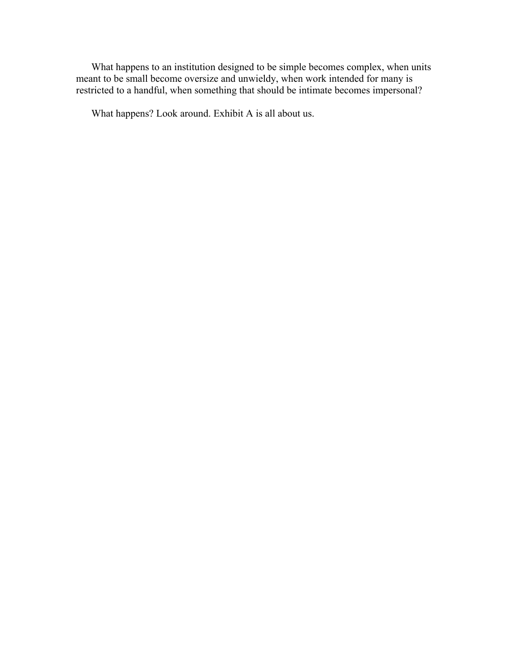What happens to an institution designed to be simple becomes complex, when units meant to be small become oversize and unwieldy, when work intended for many is restricted to a handful, when something that should be intimate becomes impersonal?

What happens? Look around. Exhibit A is all about us.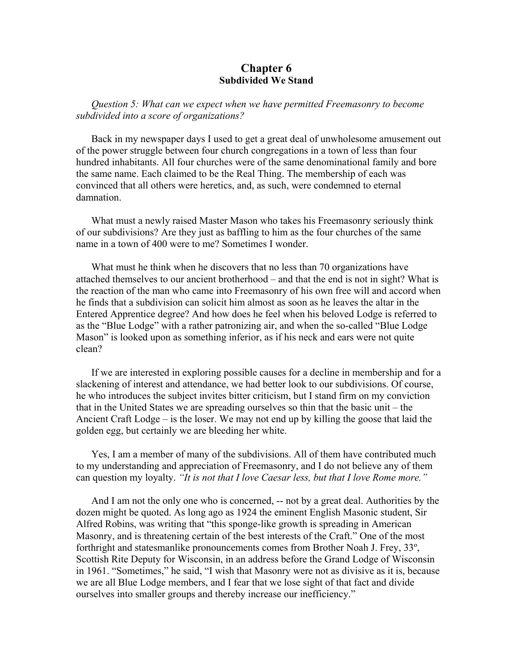### **Chapter 6 Subdivided We Stand**

*Question 5: What can we expect when we have permitted Freemasonry to become subdivided into a score of organizations?* 

Back in my newspaper days I used to get a great deal of unwholesome amusement out of the power struggle between four church congregations in a town of less than four hundred inhabitants. All four churches were of the same denominational family and bore the same name. Each claimed to be the Real Thing. The membership of each was convinced that all others were heretics, and, as such, were condemned to eternal damnation.

What must a newly raised Master Mason who takes his Freemasonry seriously think of our subdivisions? Are they just as baffling to him as the four churches of the same name in a town of 400 were to me? Sometimes I wonder.

What must he think when he discovers that no less than 70 organizations have attached themselves to our ancient brotherhood – and that the end is not in sight? What is the reaction of the man who came into Freemasonry of his own free will and accord when he finds that a subdivision can solicit him almost as soon as he leaves the altar in the Entered Apprentice degree? And how does he feel when his beloved Lodge is referred to as the "Blue Lodge" with a rather patronizing air, and when the so-called "Blue Lodge Mason" is looked upon as something inferior, as if his neck and ears were not quite clean?

If we are interested in exploring possible causes for a decline in membership and for a slackening of interest and attendance, we had better look to our subdivisions. Of course, he who introduces the subject invites bitter criticism, but I stand firm on my conviction that in the United States we are spreading ourselves so thin that the basic unit – the Ancient Craft Lodge – is the loser. We may not end up by killing the goose that laid the golden egg, but certainly we are bleeding her white.

Yes, I am a member of many of the subdivisions. All of them have contributed much to my understanding and appreciation of Freemasonry, and I do not believe any of them can question my loyalty. *"It is not that I love Caesar less, but that I love Rome more."* 

And I am not the only one who is concerned, -- not by a great deal. Authorities by the dozen might be quoted. As long ago as 1924 the eminent English Masonic student, Sir Alfred Robins, was writing that "this sponge-like growth is spreading in American Masonry, and is threatening certain of the best interests of the Craft." One of the most forthright and statesmanlike pronouncements comes from Brother Noah J. Frey, 33º, Scottish Rite Deputy for Wisconsin, in an address before the Grand Lodge of Wisconsin in 1961. "Sometimes," he said, "I wish that Masonry were not as divisive as it is, because we are all Blue Lodge members, and I fear that we lose sight of that fact and divide ourselves into smaller groups and thereby increase our inefficiency."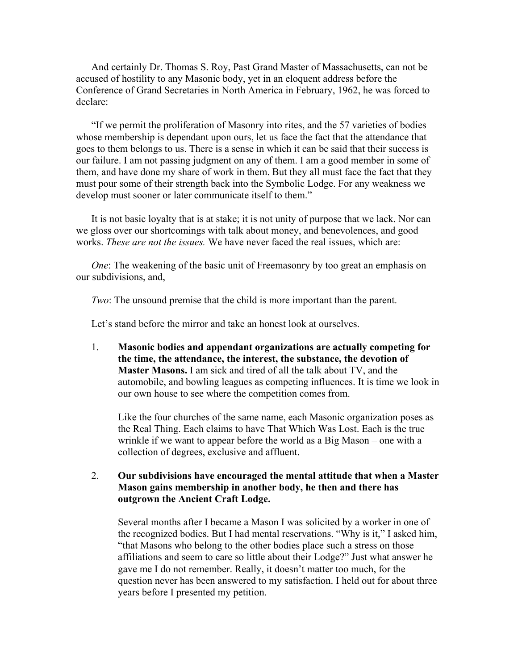And certainly Dr. Thomas S. Roy, Past Grand Master of Massachusetts, can not be accused of hostility to any Masonic body, yet in an eloquent address before the Conference of Grand Secretaries in North America in February, 1962, he was forced to declare:

"If we permit the proliferation of Masonry into rites, and the 57 varieties of bodies whose membership is dependant upon ours, let us face the fact that the attendance that goes to them belongs to us. There is a sense in which it can be said that their success is our failure. I am not passing judgment on any of them. I am a good member in some of them, and have done my share of work in them. But they all must face the fact that they must pour some of their strength back into the Symbolic Lodge. For any weakness we develop must sooner or later communicate itself to them."

It is not basic loyalty that is at stake; it is not unity of purpose that we lack. Nor can we gloss over our shortcomings with talk about money, and benevolences, and good works. *These are not the issues.* We have never faced the real issues, which are:

*One*: The weakening of the basic unit of Freemasonry by too great an emphasis on our subdivisions, and,

*Two*: The unsound premise that the child is more important than the parent.

Let's stand before the mirror and take an honest look at ourselves.

1. **Masonic bodies and appendant organizations are actually competing for the time, the attendance, the interest, the substance, the devotion of Master Masons.** I am sick and tired of all the talk about TV, and the automobile, and bowling leagues as competing influences. It is time we look in our own house to see where the competition comes from.

Like the four churches of the same name, each Masonic organization poses as the Real Thing. Each claims to have That Which Was Lost. Each is the true wrinkle if we want to appear before the world as a Big Mason – one with a collection of degrees, exclusive and affluent.

2. **Our subdivisions have encouraged the mental attitude that when a Master Mason gains membership in another body, he then and there has outgrown the Ancient Craft Lodge.**

Several months after I became a Mason I was solicited by a worker in one of the recognized bodies. But I had mental reservations. "Why is it," I asked him, "that Masons who belong to the other bodies place such a stress on those affiliations and seem to care so little about their Lodge?" Just what answer he gave me I do not remember. Really, it doesn't matter too much, for the question never has been answered to my satisfaction. I held out for about three years before I presented my petition.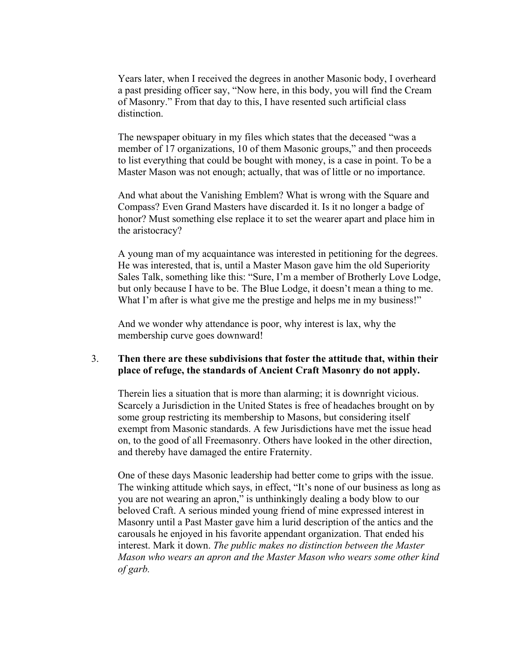Years later, when I received the degrees in another Masonic body, I overheard a past presiding officer say, "Now here, in this body, you will find the Cream of Masonry." From that day to this, I have resented such artificial class distinction.

The newspaper obituary in my files which states that the deceased "was a member of 17 organizations, 10 of them Masonic groups," and then proceeds to list everything that could be bought with money, is a case in point. To be a Master Mason was not enough; actually, that was of little or no importance.

And what about the Vanishing Emblem? What is wrong with the Square and Compass? Even Grand Masters have discarded it. Is it no longer a badge of honor? Must something else replace it to set the wearer apart and place him in the aristocracy?

A young man of my acquaintance was interested in petitioning for the degrees. He was interested, that is, until a Master Mason gave him the old Superiority Sales Talk, something like this: "Sure, I'm a member of Brotherly Love Lodge, but only because I have to be. The Blue Lodge, it doesn't mean a thing to me. What I'm after is what give me the prestige and helps me in my business!"

And we wonder why attendance is poor, why interest is lax, why the membership curve goes downward!

### 3. **Then there are these subdivisions that foster the attitude that, within their place of refuge, the standards of Ancient Craft Masonry do not apply.**

Therein lies a situation that is more than alarming; it is downright vicious. Scarcely a Jurisdiction in the United States is free of headaches brought on by some group restricting its membership to Masons, but considering itself exempt from Masonic standards. A few Jurisdictions have met the issue head on, to the good of all Freemasonry. Others have looked in the other direction, and thereby have damaged the entire Fraternity.

One of these days Masonic leadership had better come to grips with the issue. The winking attitude which says, in effect, "It's none of our business as long as you are not wearing an apron," is unthinkingly dealing a body blow to our beloved Craft. A serious minded young friend of mine expressed interest in Masonry until a Past Master gave him a lurid description of the antics and the carousals he enjoyed in his favorite appendant organization. That ended his interest. Mark it down. *The public makes no distinction between the Master Mason who wears an apron and the Master Mason who wears some other kind of garb.*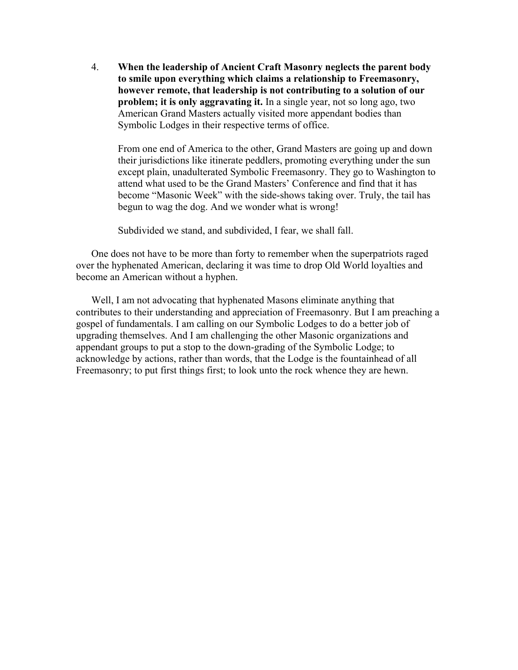4. **When the leadership of Ancient Craft Masonry neglects the parent body to smile upon everything which claims a relationship to Freemasonry, however remote, that leadership is not contributing to a solution of our problem; it is only aggravating it.** In a single year, not so long ago, two American Grand Masters actually visited more appendant bodies than Symbolic Lodges in their respective terms of office.

From one end of America to the other, Grand Masters are going up and down their jurisdictions like itinerate peddlers, promoting everything under the sun except plain, unadulterated Symbolic Freemasonry. They go to Washington to attend what used to be the Grand Masters' Conference and find that it has become "Masonic Week" with the side-shows taking over. Truly, the tail has begun to wag the dog. And we wonder what is wrong!

Subdivided we stand, and subdivided, I fear, we shall fall.

One does not have to be more than forty to remember when the superpatriots raged over the hyphenated American, declaring it was time to drop Old World loyalties and become an American without a hyphen.

Well, I am not advocating that hyphenated Masons eliminate anything that contributes to their understanding and appreciation of Freemasonry. But I am preaching a gospel of fundamentals. I am calling on our Symbolic Lodges to do a better job of upgrading themselves. And I am challenging the other Masonic organizations and appendant groups to put a stop to the down-grading of the Symbolic Lodge; to acknowledge by actions, rather than words, that the Lodge is the fountainhead of all Freemasonry; to put first things first; to look unto the rock whence they are hewn.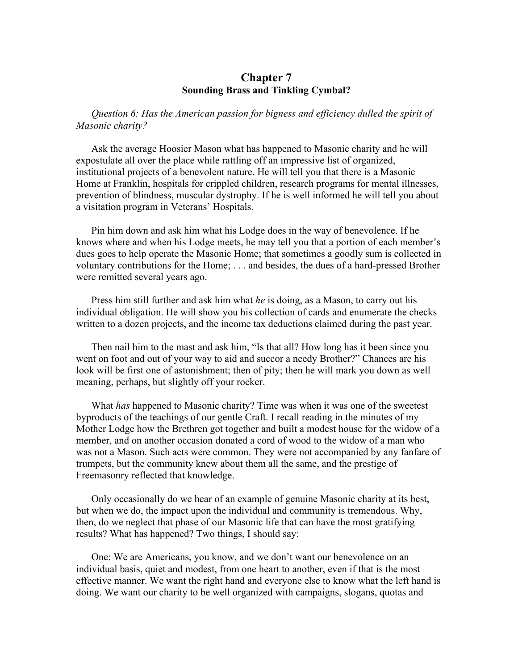### **Chapter 7 Sounding Brass and Tinkling Cymbal?**

*Question 6: Has the American passion for bigness and efficiency dulled the spirit of Masonic charity?* 

Ask the average Hoosier Mason what has happened to Masonic charity and he will expostulate all over the place while rattling off an impressive list of organized, institutional projects of a benevolent nature. He will tell you that there is a Masonic Home at Franklin, hospitals for crippled children, research programs for mental illnesses, prevention of blindness, muscular dystrophy. If he is well informed he will tell you about a visitation program in Veterans' Hospitals.

Pin him down and ask him what his Lodge does in the way of benevolence. If he knows where and when his Lodge meets, he may tell you that a portion of each member's dues goes to help operate the Masonic Home; that sometimes a goodly sum is collected in voluntary contributions for the Home; . . . and besides, the dues of a hard-pressed Brother were remitted several years ago.

Press him still further and ask him what *he* is doing, as a Mason, to carry out his individual obligation. He will show you his collection of cards and enumerate the checks written to a dozen projects, and the income tax deductions claimed during the past year.

Then nail him to the mast and ask him, "Is that all? How long has it been since you went on foot and out of your way to aid and succor a needy Brother?" Chances are his look will be first one of astonishment; then of pity; then he will mark you down as well meaning, perhaps, but slightly off your rocker.

What *has* happened to Masonic charity? Time was when it was one of the sweetest byproducts of the teachings of our gentle Craft. I recall reading in the minutes of my Mother Lodge how the Brethren got together and built a modest house for the widow of a member, and on another occasion donated a cord of wood to the widow of a man who was not a Mason. Such acts were common. They were not accompanied by any fanfare of trumpets, but the community knew about them all the same, and the prestige of Freemasonry reflected that knowledge.

Only occasionally do we hear of an example of genuine Masonic charity at its best, but when we do, the impact upon the individual and community is tremendous. Why, then, do we neglect that phase of our Masonic life that can have the most gratifying results? What has happened? Two things, I should say:

One: We are Americans, you know, and we don't want our benevolence on an individual basis, quiet and modest, from one heart to another, even if that is the most effective manner. We want the right hand and everyone else to know what the left hand is doing. We want our charity to be well organized with campaigns, slogans, quotas and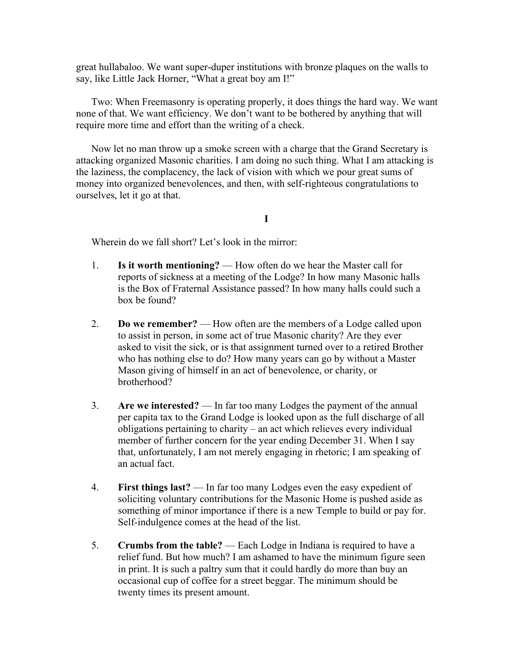great hullabaloo. We want super-duper institutions with bronze plaques on the walls to say, like Little Jack Horner, "What a great boy am I!"

Two: When Freemasonry is operating properly, it does things the hard way. We want none of that. We want efficiency. We don't want to be bothered by anything that will require more time and effort than the writing of a check.

Now let no man throw up a smoke screen with a charge that the Grand Secretary is attacking organized Masonic charities. I am doing no such thing. What I am attacking is the laziness, the complacency, the lack of vision with which we pour great sums of money into organized benevolences, and then, with self-righteous congratulations to ourselves, let it go at that.

**I** 

Wherein do we fall short? Let's look in the mirror:

- 1. **Is it worth mentioning?**  How often do we hear the Master call for reports of sickness at a meeting of the Lodge? In how many Masonic halls is the Box of Fraternal Assistance passed? In how many halls could such a box be found?
- 2. **Do we remember?**  How often are the members of a Lodge called upon to assist in person, in some act of true Masonic charity? Are they ever asked to visit the sick, or is that assignment turned over to a retired Brother who has nothing else to do? How many years can go by without a Master Mason giving of himself in an act of benevolence, or charity, or brotherhood?
- 3. **Are we interested?**  In far too many Lodges the payment of the annual per capita tax to the Grand Lodge is looked upon as the full discharge of all obligations pertaining to charity – an act which relieves every individual member of further concern for the year ending December 31. When I say that, unfortunately, I am not merely engaging in rhetoric; I am speaking of an actual fact.
- 4. **First things last?**  In far too many Lodges even the easy expedient of soliciting voluntary contributions for the Masonic Home is pushed aside as something of minor importance if there is a new Temple to build or pay for. Self-indulgence comes at the head of the list.
- 5. **Crumbs from the table?**  Each Lodge in Indiana is required to have a relief fund. But how much? I am ashamed to have the minimum figure seen in print. It is such a paltry sum that it could hardly do more than buy an occasional cup of coffee for a street beggar. The minimum should be twenty times its present amount.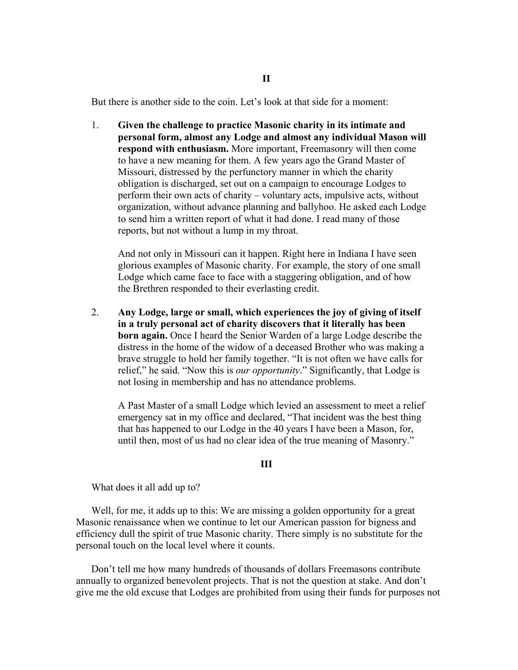But there is another side to the coin. Let's look at that side for a moment:

1. **Given the challenge to practice Masonic charity in its intimate and personal form, almost any Lodge and almost any individual Mason will respond with enthusiasm.** More important, Freemasonry will then come to have a new meaning for them. A few years ago the Grand Master of Missouri, distressed by the perfunctory manner in which the charity obligation is discharged, set out on a campaign to encourage Lodges to perform their own acts of charity – voluntary acts, impulsive acts, without organization, without advance planning and ballyhoo. He asked each Lodge to send him a written report of what it had done. I read many of those reports, but not without a lump in my throat.

And not only in Missouri can it happen. Right here in Indiana I have seen glorious examples of Masonic charity. For example, the story of one small Lodge which came face to face with a staggering obligation, and of how the Brethren responded to their everlasting credit.

2. **Any Lodge, large or small, which experiences the joy of giving of itself in a truly personal act of charity discovers that it literally has been born again.** Once I heard the Senior Warden of a large Lodge describe the distress in the home of the widow of a deceased Brother who was making a brave struggle to hold her family together. "It is not often we have calls for relief," he said. "Now this is *our opportunity*." Significantly, that Lodge is not losing in membership and has no attendance problems.

A Past Master of a small Lodge which levied an assessment to meet a relief emergency sat in my office and declared, "That incident was the best thing that has happened to our Lodge in the 40 years I have been a Mason, for, until then, most of us had no clear idea of the true meaning of Masonry."

**III** 

What does it all add up to?

Well, for me, it adds up to this: We are missing a golden opportunity for a great Masonic renaissance when we continue to let our American passion for bigness and efficiency dull the spirit of true Masonic charity. There simply is no substitute for the personal touch on the local level where it counts.

Don't tell me how many hundreds of thousands of dollars Freemasons contribute annually to organized benevolent projects. That is not the question at stake. And don't give me the old excuse that Lodges are prohibited from using their funds for purposes not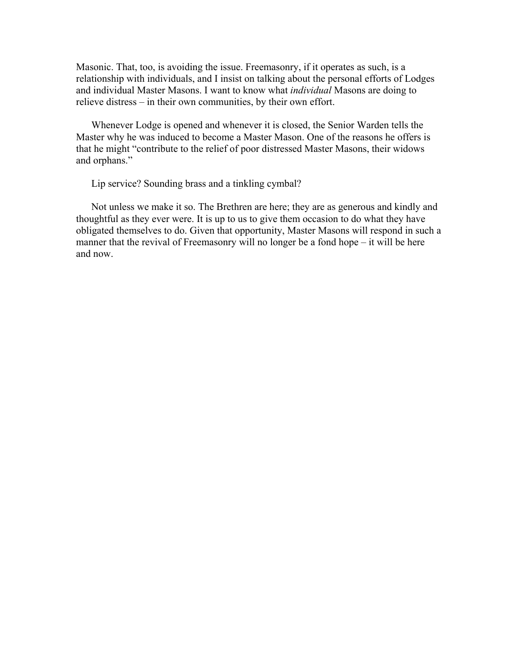Masonic. That, too, is avoiding the issue. Freemasonry, if it operates as such, is a relationship with individuals, and I insist on talking about the personal efforts of Lodges and individual Master Masons. I want to know what *individual* Masons are doing to relieve distress – in their own communities, by their own effort.

Whenever Lodge is opened and whenever it is closed, the Senior Warden tells the Master why he was induced to become a Master Mason. One of the reasons he offers is that he might "contribute to the relief of poor distressed Master Masons, their widows and orphans."

Lip service? Sounding brass and a tinkling cymbal?

Not unless we make it so. The Brethren are here; they are as generous and kindly and thoughtful as they ever were. It is up to us to give them occasion to do what they have obligated themselves to do. Given that opportunity, Master Masons will respond in such a manner that the revival of Freemasonry will no longer be a fond hope – it will be here and now.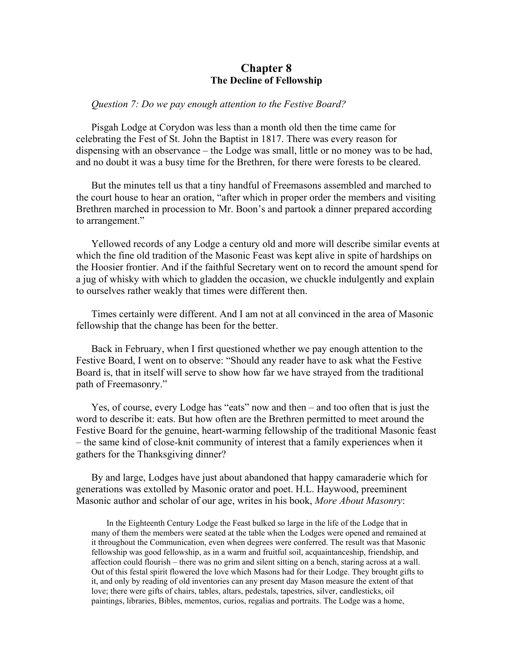## **Chapter 8 The Decline of Fellowship**

#### *Question 7: Do we pay enough attention to the Festive Board?*

Pisgah Lodge at Corydon was less than a month old then the time came for celebrating the Fest of St. John the Baptist in 1817. There was every reason for dispensing with an observance – the Lodge was small, little or no money was to be had, and no doubt it was a busy time for the Brethren, for there were forests to be cleared.

But the minutes tell us that a tiny handful of Freemasons assembled and marched to the court house to hear an oration, "after which in proper order the members and visiting Brethren marched in procession to Mr. Boon's and partook a dinner prepared according to arrangement."

Yellowed records of any Lodge a century old and more will describe similar events at which the fine old tradition of the Masonic Feast was kept alive in spite of hardships on the Hoosier frontier. And if the faithful Secretary went on to record the amount spend for a jug of whisky with which to gladden the occasion, we chuckle indulgently and explain to ourselves rather weakly that times were different then.

Times certainly were different. And I am not at all convinced in the area of Masonic fellowship that the change has been for the better.

Back in February, when I first questioned whether we pay enough attention to the Festive Board, I went on to observe: "Should any reader have to ask what the Festive Board is, that in itself will serve to show how far we have strayed from the traditional path of Freemasonry."

Yes, of course, every Lodge has "eats" now and then – and too often that is just the word to describe it: eats. But how often are the Brethren permitted to meet around the Festive Board for the genuine, heart-warming fellowship of the traditional Masonic feast – the same kind of close-knit community of interest that a family experiences when it gathers for the Thanksgiving dinner?

By and large, Lodges have just about abandoned that happy camaraderie which for generations was extolled by Masonic orator and poet. H.L. Haywood, preeminent Masonic author and scholar of our age, writes in his book, *More About Masonry*:

In the Eighteenth Century Lodge the Feast bulked so large in the life of the Lodge that in many of them the members were seated at the table when the Lodges were opened and remained at it throughout the Communication, even when degrees were conferred. The result was that Masonic fellowship was good fellowship, as in a warm and fruitful soil, acquaintanceship, friendship, and affection could flourish – there was no grim and silent sitting on a bench, staring across at a wall. Out of this festal spirit flowered the love which Masons had for their Lodge. They brought gifts to it, and only by reading of old inventories can any present day Mason measure the extent of that love; there were gifts of chairs, tables, altars, pedestals, tapestries, silver, candlesticks, oil paintings, libraries, Bibles, mementos, curios, regalias and portraits. The Lodge was a home,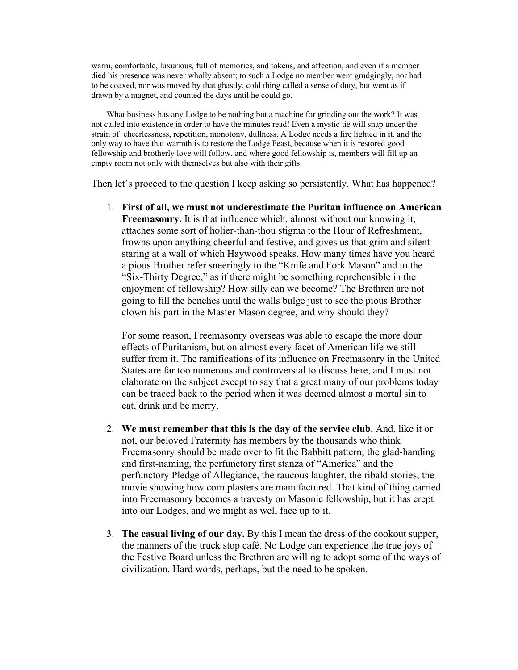warm, comfortable, luxurious, full of memories, and tokens, and affection, and even if a member died his presence was never wholly absent; to such a Lodge no member went grudgingly, nor had to be coaxed, nor was moved by that ghastly, cold thing called a sense of duty, but went as if drawn by a magnet, and counted the days until he could go.

What business has any Lodge to be nothing but a machine for grinding out the work? It was not called into existence in order to have the minutes read! Even a mystic tie will snap under the strain of cheerlessness, repetition, monotony, dullness. A Lodge needs a fire lighted in it, and the only way to have that warmth is to restore the Lodge Feast, because when it is restored good fellowship and brotherly love will follow, and where good fellowship is, members will fill up an empty room not only with themselves but also with their gifts.

Then let's proceed to the question I keep asking so persistently. What has happened?

1. **First of all, we must not underestimate the Puritan influence on American Freemasonry.** It is that influence which, almost without our knowing it, attaches some sort of holier-than-thou stigma to the Hour of Refreshment, frowns upon anything cheerful and festive, and gives us that grim and silent staring at a wall of which Haywood speaks. How many times have you heard a pious Brother refer sneeringly to the "Knife and Fork Mason" and to the "Six-Thirty Degree," as if there might be something reprehensible in the enjoyment of fellowship? How silly can we become? The Brethren are not going to fill the benches until the walls bulge just to see the pious Brother clown his part in the Master Mason degree, and why should they?

For some reason, Freemasonry overseas was able to escape the more dour effects of Puritanism, but on almost every facet of American life we still suffer from it. The ramifications of its influence on Freemasonry in the United States are far too numerous and controversial to discuss here, and I must not elaborate on the subject except to say that a great many of our problems today can be traced back to the period when it was deemed almost a mortal sin to eat, drink and be merry.

- 2. **We must remember that this is the day of the service club.** And, like it or not, our beloved Fraternity has members by the thousands who think Freemasonry should be made over to fit the Babbitt pattern; the glad-handing and first-naming, the perfunctory first stanza of "America" and the perfunctory Pledge of Allegiance, the raucous laughter, the ribald stories, the movie showing how corn plasters are manufactured. That kind of thing carried into Freemasonry becomes a travesty on Masonic fellowship, but it has crept into our Lodges, and we might as well face up to it.
- 3. **The casual living of our day.** By this I mean the dress of the cookout supper, the manners of the truck stop café. No Lodge can experience the true joys of the Festive Board unless the Brethren are willing to adopt some of the ways of civilization. Hard words, perhaps, but the need to be spoken.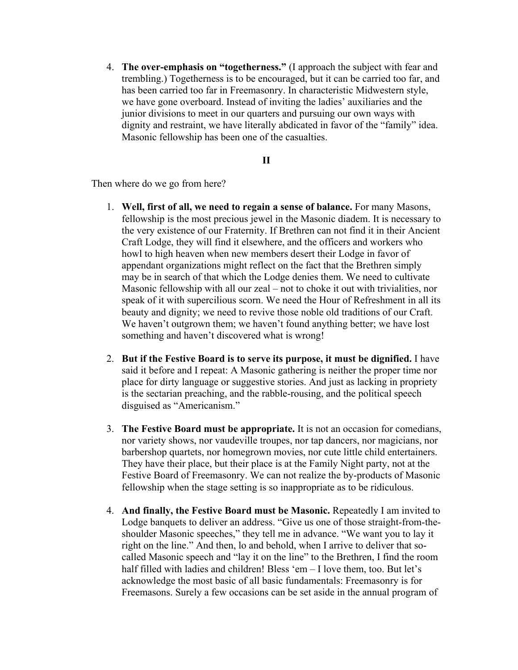4. **The over-emphasis on "togetherness."** (I approach the subject with fear and trembling.) Togetherness is to be encouraged, but it can be carried too far, and has been carried too far in Freemasonry. In characteristic Midwestern style, we have gone overboard. Instead of inviting the ladies' auxiliaries and the junior divisions to meet in our quarters and pursuing our own ways with dignity and restraint, we have literally abdicated in favor of the "family" idea. Masonic fellowship has been one of the casualties.

### **II**

Then where do we go from here?

- 1. **Well, first of all, we need to regain a sense of balance.** For many Masons, fellowship is the most precious jewel in the Masonic diadem. It is necessary to the very existence of our Fraternity. If Brethren can not find it in their Ancient Craft Lodge, they will find it elsewhere, and the officers and workers who howl to high heaven when new members desert their Lodge in favor of appendant organizations might reflect on the fact that the Brethren simply may be in search of that which the Lodge denies them. We need to cultivate Masonic fellowship with all our zeal – not to choke it out with trivialities, nor speak of it with supercilious scorn. We need the Hour of Refreshment in all its beauty and dignity; we need to revive those noble old traditions of our Craft. We haven't outgrown them; we haven't found anything better; we have lost something and haven't discovered what is wrong!
- 2. **But if the Festive Board is to serve its purpose, it must be dignified.** I have said it before and I repeat: A Masonic gathering is neither the proper time nor place for dirty language or suggestive stories. And just as lacking in propriety is the sectarian preaching, and the rabble-rousing, and the political speech disguised as "Americanism."
- 3. **The Festive Board must be appropriate.** It is not an occasion for comedians, nor variety shows, nor vaudeville troupes, nor tap dancers, nor magicians, nor barbershop quartets, nor homegrown movies, nor cute little child entertainers. They have their place, but their place is at the Family Night party, not at the Festive Board of Freemasonry. We can not realize the by-products of Masonic fellowship when the stage setting is so inappropriate as to be ridiculous.
- 4. **And finally, the Festive Board must be Masonic.** Repeatedly I am invited to Lodge banquets to deliver an address. "Give us one of those straight-from-theshoulder Masonic speeches," they tell me in advance. "We want you to lay it right on the line." And then, lo and behold, when I arrive to deliver that socalled Masonic speech and "lay it on the line" to the Brethren, I find the room half filled with ladies and children! Bless 'em – I love them, too. But let's acknowledge the most basic of all basic fundamentals: Freemasonry is for Freemasons. Surely a few occasions can be set aside in the annual program of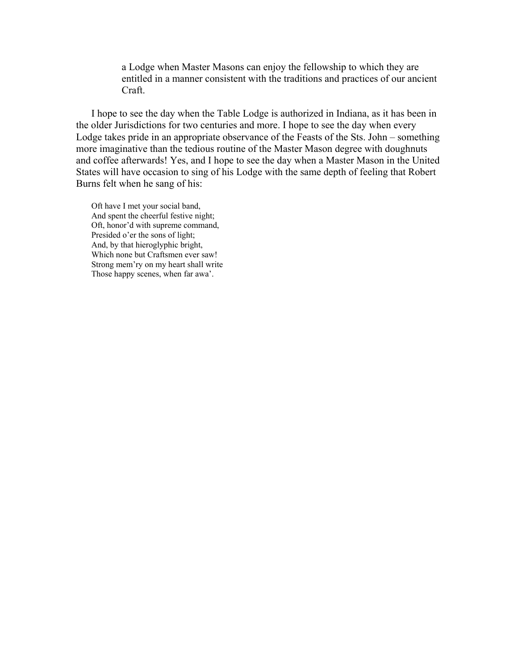a Lodge when Master Masons can enjoy the fellowship to which they are entitled in a manner consistent with the traditions and practices of our ancient Craft.

I hope to see the day when the Table Lodge is authorized in Indiana, as it has been in the older Jurisdictions for two centuries and more. I hope to see the day when every Lodge takes pride in an appropriate observance of the Feasts of the Sts. John – something more imaginative than the tedious routine of the Master Mason degree with doughnuts and coffee afterwards! Yes, and I hope to see the day when a Master Mason in the United States will have occasion to sing of his Lodge with the same depth of feeling that Robert Burns felt when he sang of his:

Oft have I met your social band, And spent the cheerful festive night; Oft, honor'd with supreme command, Presided o'er the sons of light; And, by that hieroglyphic bright, Which none but Craftsmen ever saw! Strong mem'ry on my heart shall write Those happy scenes, when far awa'.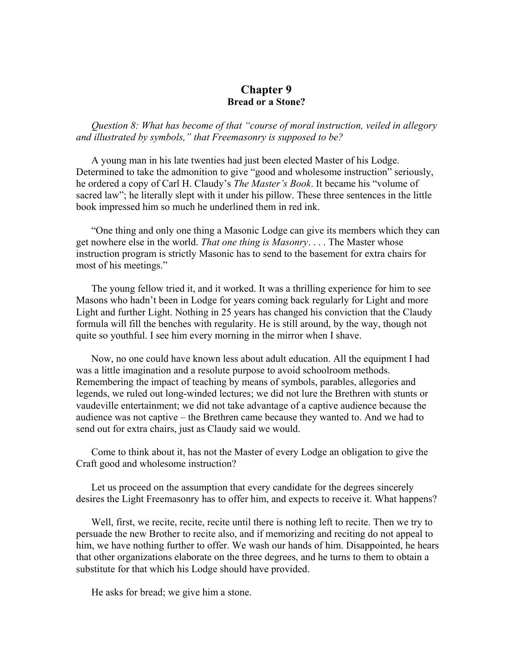### **Chapter 9 Bread or a Stone?**

*Question 8: What has become of that "course of moral instruction, veiled in allegory and illustrated by symbols," that Freemasonry is supposed to be?* 

A young man in his late twenties had just been elected Master of his Lodge. Determined to take the admonition to give "good and wholesome instruction" seriously, he ordered a copy of Carl H. Claudy's *The Master's Book*. It became his "volume of sacred law"; he literally slept with it under his pillow. These three sentences in the little book impressed him so much he underlined them in red ink.

"One thing and only one thing a Masonic Lodge can give its members which they can get nowhere else in the world. *That one thing is Masonry*. . . . The Master whose instruction program is strictly Masonic has to send to the basement for extra chairs for most of his meetings."

The young fellow tried it, and it worked. It was a thrilling experience for him to see Masons who hadn't been in Lodge for years coming back regularly for Light and more Light and further Light. Nothing in 25 years has changed his conviction that the Claudy formula will fill the benches with regularity. He is still around, by the way, though not quite so youthful. I see him every morning in the mirror when I shave.

Now, no one could have known less about adult education. All the equipment I had was a little imagination and a resolute purpose to avoid schoolroom methods. Remembering the impact of teaching by means of symbols, parables, allegories and legends, we ruled out long-winded lectures; we did not lure the Brethren with stunts or vaudeville entertainment; we did not take advantage of a captive audience because the audience was not captive – the Brethren came because they wanted to. And we had to send out for extra chairs, just as Claudy said we would.

Come to think about it, has not the Master of every Lodge an obligation to give the Craft good and wholesome instruction?

Let us proceed on the assumption that every candidate for the degrees sincerely desires the Light Freemasonry has to offer him, and expects to receive it. What happens?

Well, first, we recite, recite, recite until there is nothing left to recite. Then we try to persuade the new Brother to recite also, and if memorizing and reciting do not appeal to him, we have nothing further to offer. We wash our hands of him. Disappointed, he hears that other organizations elaborate on the three degrees, and he turns to them to obtain a substitute for that which his Lodge should have provided.

He asks for bread; we give him a stone.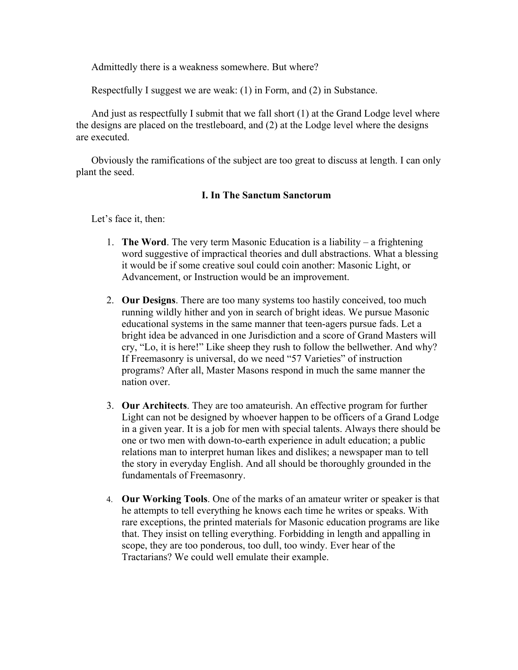Admittedly there is a weakness somewhere. But where?

Respectfully I suggest we are weak: (1) in Form, and (2) in Substance.

And just as respectfully I submit that we fall short (1) at the Grand Lodge level where the designs are placed on the trestleboard, and (2) at the Lodge level where the designs are executed.

Obviously the ramifications of the subject are too great to discuss at length. I can only plant the seed.

## **I. In The Sanctum Sanctorum**

Let's face it, then:

- 1. **The Word**. The very term Masonic Education is a liability a frightening word suggestive of impractical theories and dull abstractions. What a blessing it would be if some creative soul could coin another: Masonic Light, or Advancement, or Instruction would be an improvement.
- 2. **Our Designs**. There are too many systems too hastily conceived, too much running wildly hither and yon in search of bright ideas. We pursue Masonic educational systems in the same manner that teen-agers pursue fads. Let a bright idea be advanced in one Jurisdiction and a score of Grand Masters will cry, "Lo, it is here!" Like sheep they rush to follow the bellwether. And why? If Freemasonry is universal, do we need "57 Varieties" of instruction programs? After all, Master Masons respond in much the same manner the nation over.
- 3. **Our Architects**. They are too amateurish. An effective program for further Light can not be designed by whoever happen to be officers of a Grand Lodge in a given year. It is a job for men with special talents. Always there should be one or two men with down-to-earth experience in adult education; a public relations man to interpret human likes and dislikes; a newspaper man to tell the story in everyday English. And all should be thoroughly grounded in the fundamentals of Freemasonry.
- 4. **Our Working Tools**. One of the marks of an amateur writer or speaker is that he attempts to tell everything he knows each time he writes or speaks. With rare exceptions, the printed materials for Masonic education programs are like that. They insist on telling everything. Forbidding in length and appalling in scope, they are too ponderous, too dull, too windy. Ever hear of the Tractarians? We could well emulate their example.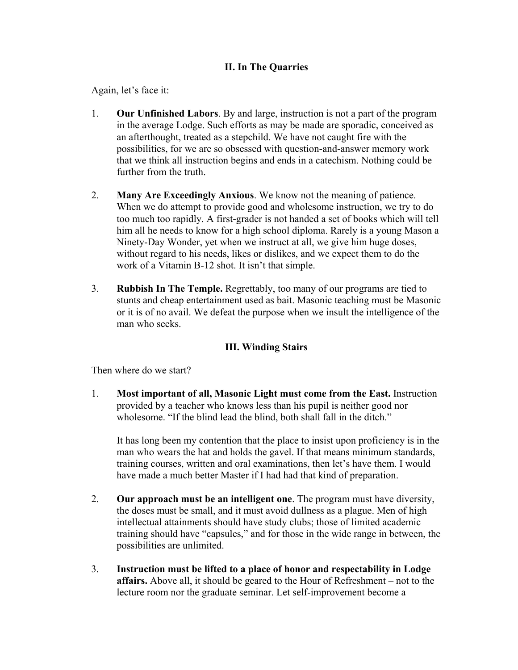## **II. In The Quarries**

Again, let's face it:

- 1. **Our Unfinished Labors**. By and large, instruction is not a part of the program in the average Lodge. Such efforts as may be made are sporadic, conceived as an afterthought, treated as a stepchild. We have not caught fire with the possibilities, for we are so obsessed with question-and-answer memory work that we think all instruction begins and ends in a catechism. Nothing could be further from the truth.
- 2. **Many Are Exceedingly Anxious**. We know not the meaning of patience. When we do attempt to provide good and wholesome instruction, we try to do too much too rapidly. A first-grader is not handed a set of books which will tell him all he needs to know for a high school diploma. Rarely is a young Mason a Ninety-Day Wonder, yet when we instruct at all, we give him huge doses, without regard to his needs, likes or dislikes, and we expect them to do the work of a Vitamin B-12 shot. It isn't that simple.
- 3. **Rubbish In The Temple.** Regrettably, too many of our programs are tied to stunts and cheap entertainment used as bait. Masonic teaching must be Masonic or it is of no avail. We defeat the purpose when we insult the intelligence of the man who seeks.

## **III. Winding Stairs**

Then where do we start?

1. **Most important of all, Masonic Light must come from the East.** Instruction provided by a teacher who knows less than his pupil is neither good nor wholesome. "If the blind lead the blind, both shall fall in the ditch."

It has long been my contention that the place to insist upon proficiency is in the man who wears the hat and holds the gavel. If that means minimum standards, training courses, written and oral examinations, then let's have them. I would have made a much better Master if I had had that kind of preparation.

- 2. **Our approach must be an intelligent one**. The program must have diversity, the doses must be small, and it must avoid dullness as a plague. Men of high intellectual attainments should have study clubs; those of limited academic training should have "capsules," and for those in the wide range in between, the possibilities are unlimited.
- 3. **Instruction must be lifted to a place of honor and respectability in Lodge affairs.** Above all, it should be geared to the Hour of Refreshment – not to the lecture room nor the graduate seminar. Let self-improvement become a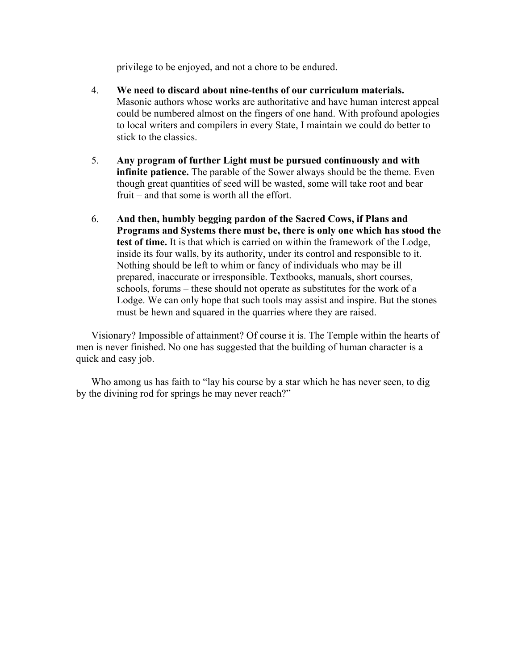privilege to be enjoyed, and not a chore to be endured.

- 4. **We need to discard about nine-tenths of our curriculum materials.**  Masonic authors whose works are authoritative and have human interest appeal could be numbered almost on the fingers of one hand. With profound apologies to local writers and compilers in every State, I maintain we could do better to stick to the classics.
- 5. **Any program of further Light must be pursued continuously and with infinite patience.** The parable of the Sower always should be the theme. Even though great quantities of seed will be wasted, some will take root and bear fruit – and that some is worth all the effort.
- 6. **And then, humbly begging pardon of the Sacred Cows, if Plans and Programs and Systems there must be, there is only one which has stood the test of time.** It is that which is carried on within the framework of the Lodge, inside its four walls, by its authority, under its control and responsible to it. Nothing should be left to whim or fancy of individuals who may be ill prepared, inaccurate or irresponsible. Textbooks, manuals, short courses, schools, forums – these should not operate as substitutes for the work of a Lodge. We can only hope that such tools may assist and inspire. But the stones must be hewn and squared in the quarries where they are raised.

Visionary? Impossible of attainment? Of course it is. The Temple within the hearts of men is never finished. No one has suggested that the building of human character is a quick and easy job.

Who among us has faith to "lay his course by a star which he has never seen, to dig by the divining rod for springs he may never reach?"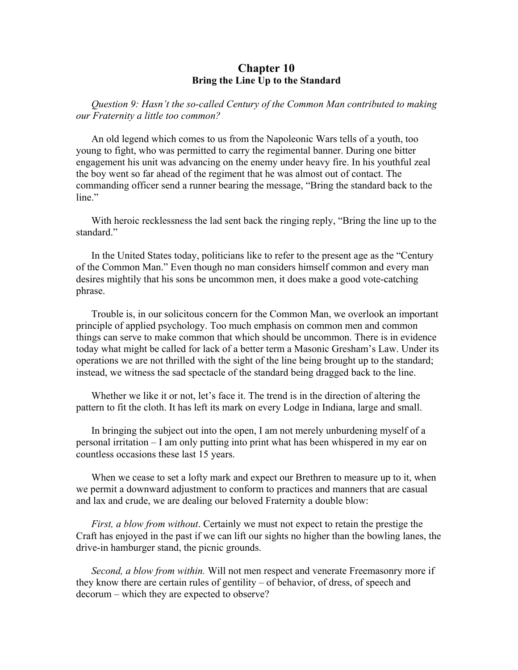## **Chapter 10 Bring the Line Up to the Standard**

*Question 9: Hasn't the so-called Century of the Common Man contributed to making our Fraternity a little too common?* 

An old legend which comes to us from the Napoleonic Wars tells of a youth, too young to fight, who was permitted to carry the regimental banner. During one bitter engagement his unit was advancing on the enemy under heavy fire. In his youthful zeal the boy went so far ahead of the regiment that he was almost out of contact. The commanding officer send a runner bearing the message, "Bring the standard back to the line"

With heroic recklessness the lad sent back the ringing reply, "Bring the line up to the standard<sup>"</sup>

In the United States today, politicians like to refer to the present age as the "Century of the Common Man." Even though no man considers himself common and every man desires mightily that his sons be uncommon men, it does make a good vote-catching phrase.

Trouble is, in our solicitous concern for the Common Man, we overlook an important principle of applied psychology. Too much emphasis on common men and common things can serve to make common that which should be uncommon. There is in evidence today what might be called for lack of a better term a Masonic Gresham's Law. Under its operations we are not thrilled with the sight of the line being brought up to the standard; instead, we witness the sad spectacle of the standard being dragged back to the line.

Whether we like it or not, let's face it. The trend is in the direction of altering the pattern to fit the cloth. It has left its mark on every Lodge in Indiana, large and small.

In bringing the subject out into the open, I am not merely unburdening myself of a personal irritation – I am only putting into print what has been whispered in my ear on countless occasions these last 15 years.

When we cease to set a lofty mark and expect our Brethren to measure up to it, when we permit a downward adjustment to conform to practices and manners that are casual and lax and crude, we are dealing our beloved Fraternity a double blow:

*First, a blow from without*. Certainly we must not expect to retain the prestige the Craft has enjoyed in the past if we can lift our sights no higher than the bowling lanes, the drive-in hamburger stand, the picnic grounds.

*Second, a blow from within.* Will not men respect and venerate Freemasonry more if they know there are certain rules of gentility – of behavior, of dress, of speech and decorum – which they are expected to observe?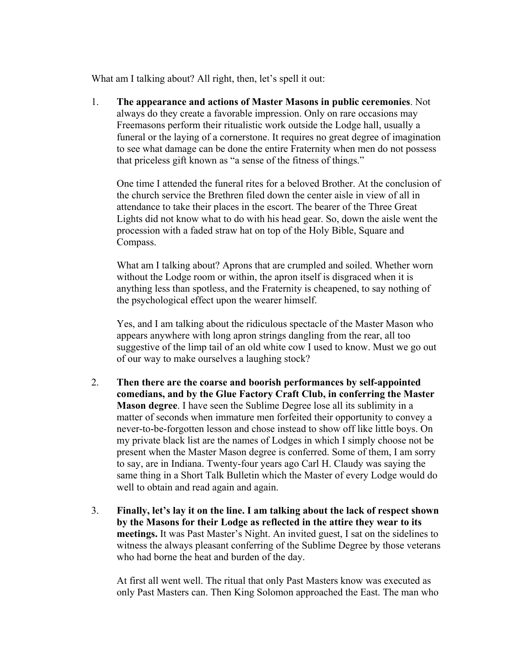What am I talking about? All right, then, let's spell it out:

1. **The appearance and actions of Master Masons in public ceremonies**. Not always do they create a favorable impression. Only on rare occasions may Freemasons perform their ritualistic work outside the Lodge hall, usually a funeral or the laying of a cornerstone. It requires no great degree of imagination to see what damage can be done the entire Fraternity when men do not possess that priceless gift known as "a sense of the fitness of things."

One time I attended the funeral rites for a beloved Brother. At the conclusion of the church service the Brethren filed down the center aisle in view of all in attendance to take their places in the escort. The bearer of the Three Great Lights did not know what to do with his head gear. So, down the aisle went the procession with a faded straw hat on top of the Holy Bible, Square and Compass.

What am I talking about? Aprons that are crumpled and soiled. Whether worn without the Lodge room or within, the apron itself is disgraced when it is anything less than spotless, and the Fraternity is cheapened, to say nothing of the psychological effect upon the wearer himself.

Yes, and I am talking about the ridiculous spectacle of the Master Mason who appears anywhere with long apron strings dangling from the rear, all too suggestive of the limp tail of an old white cow I used to know. Must we go out of our way to make ourselves a laughing stock?

- 2. **Then there are the coarse and boorish performances by self-appointed comedians, and by the Glue Factory Craft Club, in conferring the Master Mason degree**. I have seen the Sublime Degree lose all its sublimity in a matter of seconds when immature men forfeited their opportunity to convey a never-to-be-forgotten lesson and chose instead to show off like little boys. On my private black list are the names of Lodges in which I simply choose not be present when the Master Mason degree is conferred. Some of them, I am sorry to say, are in Indiana. Twenty-four years ago Carl H. Claudy was saying the same thing in a Short Talk Bulletin which the Master of every Lodge would do well to obtain and read again and again.
- 3. **Finally, let's lay it on the line. I am talking about the lack of respect shown by the Masons for their Lodge as reflected in the attire they wear to its meetings.** It was Past Master's Night. An invited guest, I sat on the sidelines to witness the always pleasant conferring of the Sublime Degree by those veterans who had borne the heat and burden of the day.

At first all went well. The ritual that only Past Masters know was executed as only Past Masters can. Then King Solomon approached the East. The man who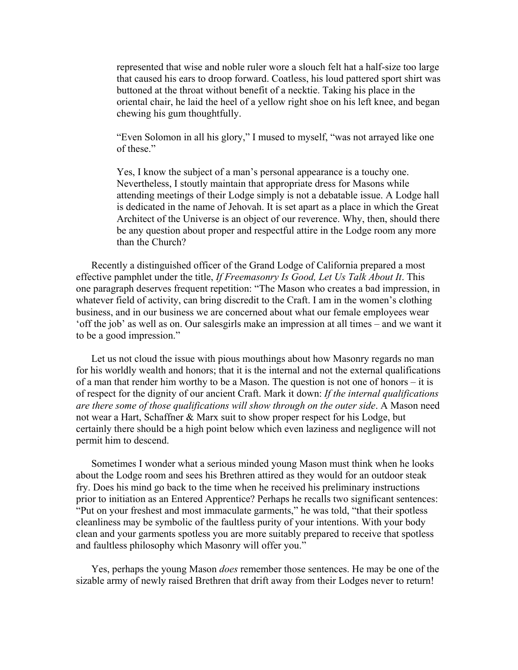represented that wise and noble ruler wore a slouch felt hat a half-size too large that caused his ears to droop forward. Coatless, his loud pattered sport shirt was buttoned at the throat without benefit of a necktie. Taking his place in the oriental chair, he laid the heel of a yellow right shoe on his left knee, and began chewing his gum thoughtfully.

"Even Solomon in all his glory," I mused to myself, "was not arrayed like one of these."

Yes, I know the subject of a man's personal appearance is a touchy one. Nevertheless, I stoutly maintain that appropriate dress for Masons while attending meetings of their Lodge simply is not a debatable issue. A Lodge hall is dedicated in the name of Jehovah. It is set apart as a place in which the Great Architect of the Universe is an object of our reverence. Why, then, should there be any question about proper and respectful attire in the Lodge room any more than the Church?

Recently a distinguished officer of the Grand Lodge of California prepared a most effective pamphlet under the title, *If Freemasonry Is Good, Let Us Talk About It*. This one paragraph deserves frequent repetition: "The Mason who creates a bad impression, in whatever field of activity, can bring discredit to the Craft. I am in the women's clothing business, and in our business we are concerned about what our female employees wear 'off the job' as well as on. Our salesgirls make an impression at all times – and we want it to be a good impression."

Let us not cloud the issue with pious mouthings about how Masonry regards no man for his worldly wealth and honors; that it is the internal and not the external qualifications of a man that render him worthy to be a Mason. The question is not one of honors – it is of respect for the dignity of our ancient Craft. Mark it down: *If the internal qualifications are there some of those qualifications will show through on the outer side*. A Mason need not wear a Hart, Schaffner & Marx suit to show proper respect for his Lodge, but certainly there should be a high point below which even laziness and negligence will not permit him to descend.

Sometimes I wonder what a serious minded young Mason must think when he looks about the Lodge room and sees his Brethren attired as they would for an outdoor steak fry. Does his mind go back to the time when he received his preliminary instructions prior to initiation as an Entered Apprentice? Perhaps he recalls two significant sentences: "Put on your freshest and most immaculate garments," he was told, "that their spotless cleanliness may be symbolic of the faultless purity of your intentions. With your body clean and your garments spotless you are more suitably prepared to receive that spotless and faultless philosophy which Masonry will offer you."

Yes, perhaps the young Mason *does* remember those sentences. He may be one of the sizable army of newly raised Brethren that drift away from their Lodges never to return!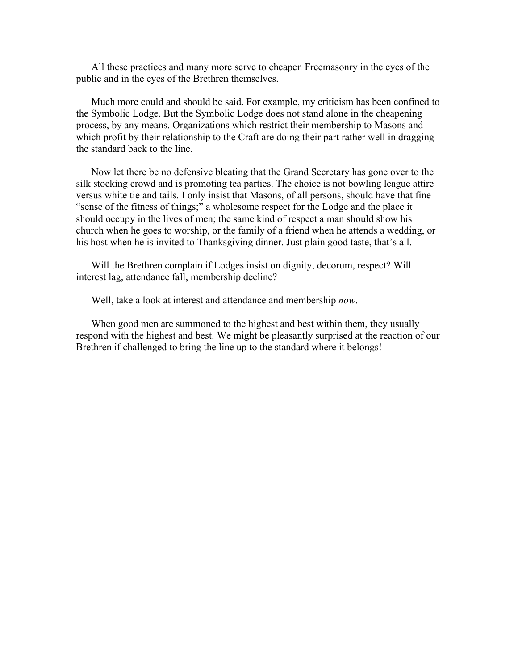All these practices and many more serve to cheapen Freemasonry in the eyes of the public and in the eyes of the Brethren themselves.

Much more could and should be said. For example, my criticism has been confined to the Symbolic Lodge. But the Symbolic Lodge does not stand alone in the cheapening process, by any means. Organizations which restrict their membership to Masons and which profit by their relationship to the Craft are doing their part rather well in dragging the standard back to the line.

Now let there be no defensive bleating that the Grand Secretary has gone over to the silk stocking crowd and is promoting tea parties. The choice is not bowling league attire versus white tie and tails. I only insist that Masons, of all persons, should have that fine "sense of the fitness of things;" a wholesome respect for the Lodge and the place it should occupy in the lives of men; the same kind of respect a man should show his church when he goes to worship, or the family of a friend when he attends a wedding, or his host when he is invited to Thanksgiving dinner. Just plain good taste, that's all.

Will the Brethren complain if Lodges insist on dignity, decorum, respect? Will interest lag, attendance fall, membership decline?

Well, take a look at interest and attendance and membership *now*.

When good men are summoned to the highest and best within them, they usually respond with the highest and best. We might be pleasantly surprised at the reaction of our Brethren if challenged to bring the line up to the standard where it belongs!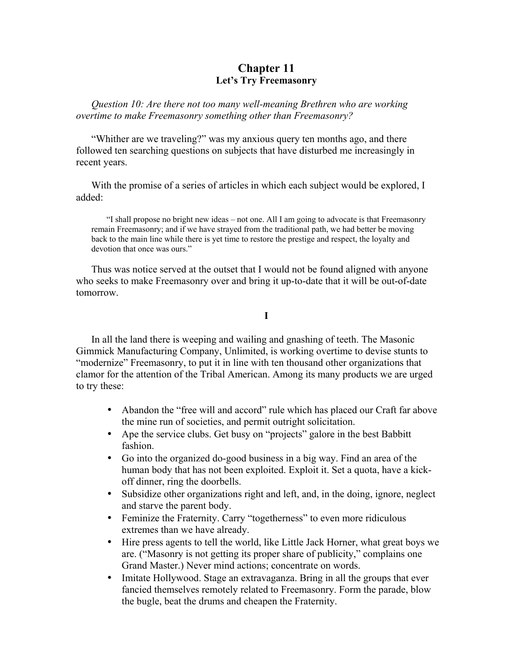## **Chapter 11 Let's Try Freemasonry**

*Question 10: Are there not too many well-meaning Brethren who are working overtime to make Freemasonry something other than Freemasonry?* 

"Whither are we traveling?" was my anxious query ten months ago, and there followed ten searching questions on subjects that have disturbed me increasingly in recent years.

With the promise of a series of articles in which each subject would be explored, I added:

"I shall propose no bright new ideas – not one. All I am going to advocate is that Freemasonry remain Freemasonry; and if we have strayed from the traditional path, we had better be moving back to the main line while there is yet time to restore the prestige and respect, the loyalty and devotion that once was ours."

Thus was notice served at the outset that I would not be found aligned with anyone who seeks to make Freemasonry over and bring it up-to-date that it will be out-of-date tomorrow.

**I** 

In all the land there is weeping and wailing and gnashing of teeth. The Masonic Gimmick Manufacturing Company, Unlimited, is working overtime to devise stunts to "modernize" Freemasonry, to put it in line with ten thousand other organizations that clamor for the attention of the Tribal American. Among its many products we are urged to try these:

- Abandon the "free will and accord" rule which has placed our Craft far above the mine run of societies, and permit outright solicitation.
- Ape the service clubs. Get busy on "projects" galore in the best Babbitt fashion.
- Go into the organized do-good business in a big way. Find an area of the human body that has not been exploited. Exploit it. Set a quota, have a kickoff dinner, ring the doorbells.
- Subsidize other organizations right and left, and, in the doing, ignore, neglect and starve the parent body.
- Feminize the Fraternity. Carry "togetherness" to even more ridiculous extremes than we have already.
- Hire press agents to tell the world, like Little Jack Horner, what great boys we are. ("Masonry is not getting its proper share of publicity," complains one Grand Master.) Never mind actions; concentrate on words.
- Imitate Hollywood. Stage an extravaganza. Bring in all the groups that ever fancied themselves remotely related to Freemasonry. Form the parade, blow the bugle, beat the drums and cheapen the Fraternity.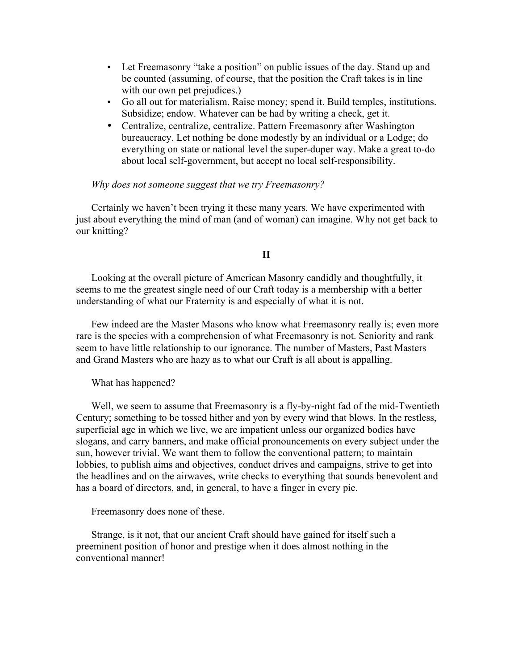- Let Freemasonry "take a position" on public issues of the day. Stand up and be counted (assuming, of course, that the position the Craft takes is in line with our own pet prejudices.)
- Go all out for materialism. Raise money; spend it. Build temples, institutions. Subsidize; endow. Whatever can be had by writing a check, get it.
- Centralize, centralize, centralize. Pattern Freemasonry after Washington bureaucracy. Let nothing be done modestly by an individual or a Lodge; do everything on state or national level the super-duper way. Make a great to-do about local self-government, but accept no local self-responsibility.

#### *Why does not someone suggest that we try Freemasonry?*

Certainly we haven't been trying it these many years. We have experimented with just about everything the mind of man (and of woman) can imagine. Why not get back to our knitting?

#### **II**

Looking at the overall picture of American Masonry candidly and thoughtfully, it seems to me the greatest single need of our Craft today is a membership with a better understanding of what our Fraternity is and especially of what it is not.

Few indeed are the Master Masons who know what Freemasonry really is; even more rare is the species with a comprehension of what Freemasonry is not. Seniority and rank seem to have little relationship to our ignorance. The number of Masters, Past Masters and Grand Masters who are hazy as to what our Craft is all about is appalling.

#### What has happened?

Well, we seem to assume that Freemasonry is a fly-by-night fad of the mid-Twentieth Century; something to be tossed hither and yon by every wind that blows. In the restless, superficial age in which we live, we are impatient unless our organized bodies have slogans, and carry banners, and make official pronouncements on every subject under the sun, however trivial. We want them to follow the conventional pattern; to maintain lobbies, to publish aims and objectives, conduct drives and campaigns, strive to get into the headlines and on the airwaves, write checks to everything that sounds benevolent and has a board of directors, and, in general, to have a finger in every pie.

Freemasonry does none of these.

Strange, is it not, that our ancient Craft should have gained for itself such a preeminent position of honor and prestige when it does almost nothing in the conventional manner!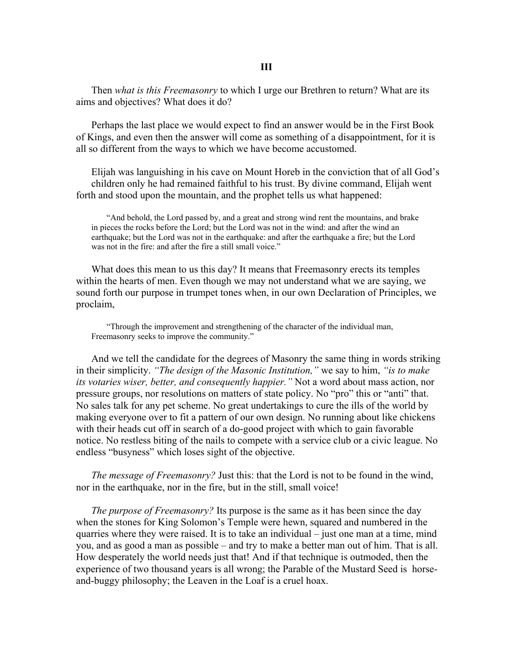Then *what is this Freemasonry* to which I urge our Brethren to return? What are its aims and objectives? What does it do?

Perhaps the last place we would expect to find an answer would be in the First Book of Kings, and even then the answer will come as something of a disappointment, for it is all so different from the ways to which we have become accustomed.

Elijah was languishing in his cave on Mount Horeb in the conviction that of all God's children only he had remained faithful to his trust. By divine command, Elijah went forth and stood upon the mountain, and the prophet tells us what happened:

"And behold, the Lord passed by, and a great and strong wind rent the mountains, and brake in pieces the rocks before the Lord; but the Lord was not in the wind: and after the wind an earthquake; but the Lord was not in the earthquake: and after the earthquake a fire; but the Lord was not in the fire: and after the fire a still small voice."

What does this mean to us this day? It means that Freemasonry erects its temples within the hearts of men. Even though we may not understand what we are saying, we sound forth our purpose in trumpet tones when, in our own Declaration of Principles, we proclaim,

"Through the improvement and strengthening of the character of the individual man, Freemasonry seeks to improve the community."

And we tell the candidate for the degrees of Masonry the same thing in words striking in their simplicity. *"The design of the Masonic Institution,"* we say to him, *"is to make its votaries wiser, better, and consequently happier."* Not a word about mass action, nor pressure groups, nor resolutions on matters of state policy. No "pro" this or "anti" that. No sales talk for any pet scheme. No great undertakings to cure the ills of the world by making everyone over to fit a pattern of our own design. No running about like chickens with their heads cut off in search of a do-good project with which to gain favorable notice. No restless biting of the nails to compete with a service club or a civic league. No endless "busyness" which loses sight of the objective.

*The message of Freemasonry?* Just this: that the Lord is not to be found in the wind, nor in the earthquake, nor in the fire, but in the still, small voice!

*The purpose of Freemasonry?* Its purpose is the same as it has been since the day when the stones for King Solomon's Temple were hewn, squared and numbered in the quarries where they were raised. It is to take an individual – just one man at a time, mind you, and as good a man as possible – and try to make a better man out of him. That is all. How desperately the world needs just that! And if that technique is outmoded, then the experience of two thousand years is all wrong; the Parable of the Mustard Seed is horseand-buggy philosophy; the Leaven in the Loaf is a cruel hoax.